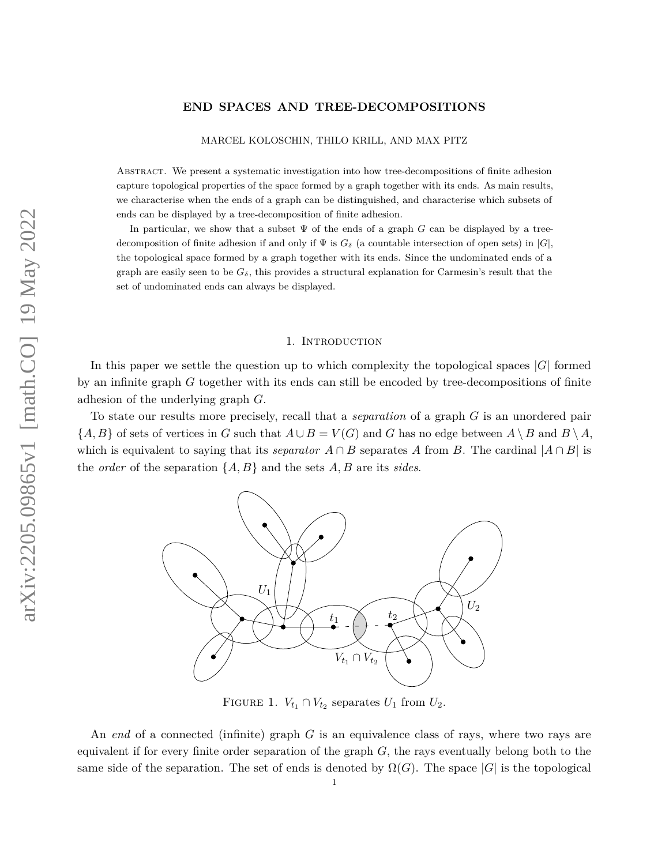# **END SPACES AND TREE-DECOMPOSITIONS**

MARCEL KOLOSCHIN, THILO KRILL, AND MAX PITZ

Abstract. We present a systematic investigation into how tree-decompositions of finite adhesion capture topological properties of the space formed by a graph together with its ends. As main results, we characterise when the ends of a graph can be distinguished, and characterise which subsets of ends can be displayed by a tree-decomposition of finite adhesion.

In particular, we show that a subset Ψ of the ends of a graph *G* can be displayed by a treedecomposition of finite adhesion if and only if  $\Psi$  is  $G_{\delta}$  (a countable intersection of open sets) in  $|G|$ , the topological space formed by a graph together with its ends. Since the undominated ends of a graph are easily seen to be  $G_{\delta}$ , this provides a structural explanation for Carmesin's result that the set of undominated ends can always be displayed.

## 1. Introduction

In this paper we settle the question up to which complexity the topological spaces |*G*| formed by an infinite graph *G* together with its ends can still be encoded by tree-decompositions of finite adhesion of the underlying graph *G*.

To state our results more precisely, recall that a *separation* of a graph *G* is an unordered pair  ${A, B}$  of sets of vertices in *G* such that  $A \cup B = V(G)$  and *G* has no edge between  $A \setminus B$  and  $B \setminus A$ , which is equivalent to saying that its *separator*  $A \cap B$  separates  $A$  from  $B$ . The cardinal  $|A \cap B|$  is the *order* of the separation {*A, B*} and the sets *A, B* are its *sides*.



<span id="page-0-0"></span>FIGURE 1.  $V_{t_1} \cap V_{t_2}$  separates  $U_1$  from  $U_2$ .

An *end* of a connected (infinite) graph *G* is an equivalence class of rays, where two rays are equivalent if for every finite order separation of the graph *G*, the rays eventually belong both to the same side of the separation. The set of ends is denoted by  $\Omega(G)$ . The space  $|G|$  is the topological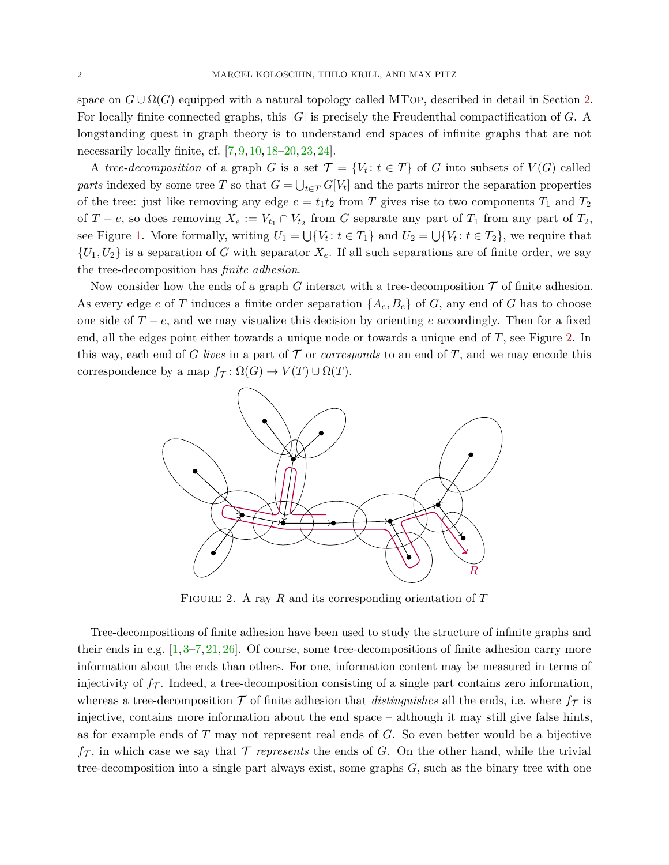space on  $G \cup \Omega(G)$  equipped with a natural topology called MTop, described in detail in Section [2.](#page-5-0) For locally finite connected graphs, this |*G*| is precisely the Freudenthal compactification of *G*. A longstanding quest in graph theory is to understand end spaces of infinite graphs that are not necessarily locally finite, cf. [\[7,](#page-27-0) [9,](#page-27-1) [10,](#page-27-2) [18–](#page-27-3)[20,](#page-27-4) [23,](#page-27-5) [24\]](#page-27-6).

A *tree-decomposition* of a graph *G* is a set  $\mathcal{T} = \{V_t : t \in T\}$  of *G* into subsets of  $V(G)$  called *parts* indexed by some tree *T* so that  $G = \bigcup_{t \in T} G[V_t]$  and the parts mirror the separation properties of the tree: just like removing any edge  $e = t_1 t_2$  from *T* gives rise to two components  $T_1$  and  $T_2$ of  $T - e$ , so does removing  $X_e := V_{t_1} \cap V_{t_2}$  from *G* separate any part of  $T_1$  from any part of  $T_2$ , see Figure [1.](#page-0-0) More formally, writing  $U_1 = \bigcup \{V_t : t \in T_1\}$  and  $U_2 = \bigcup \{V_t : t \in T_2\}$ , we require that  ${U_1, U_2}$  is a separation of *G* with separator  $X_e$ . If all such separations are of finite order, we say the tree-decomposition has *finite adhesion*.

Now consider how the ends of a graph *G* interact with a tree-decomposition  $\mathcal T$  of finite adhesion. As every edge *e* of *T* induces a finite order separation  $\{A_e, B_e\}$  of *G*, any end of *G* has to choose one side of *T* − *e*, and we may visualize this decision by orienting *e* accordingly. Then for a fixed end, all the edges point either towards a unique node or towards a unique end of *T*, see Figure [2.](#page-1-0) In this way, each end of *G lives* in a part of  $\mathcal T$  or *corresponds* to an end of  $T$ , and we may encode this correspondence by a map  $f_{\mathcal{T}}: \Omega(G) \to V(T) \cup \Omega(T)$ .



<span id="page-1-0"></span>Figure 2. A ray *R* and its corresponding orientation of *T*

Tree-decompositions of finite adhesion have been used to study the structure of infinite graphs and their ends in e.g.  $[1, 3-7, 21, 26]$  $[1, 3-7, 21, 26]$  $[1, 3-7, 21, 26]$  $[1, 3-7, 21, 26]$  $[1, 3-7, 21, 26]$  $[1, 3-7, 21, 26]$  $[1, 3-7, 21, 26]$ . Of course, some tree-decompositions of finite adhesion carry more information about the ends than others. For one, information content may be measured in terms of injectivity of  $f_{\mathcal{T}}$ . Indeed, a tree-decomposition consisting of a single part contains zero information, whereas a tree-decomposition  $\mathcal T$  of finite adhesion that *distinguishes* all the ends, i.e. where  $f_{\mathcal T}$  is injective, contains more information about the end space – although it may still give false hints, as for example ends of *T* may not represent real ends of *G*. So even better would be a bijective  $f_{\mathcal{T}}$ , in which case we say that  $\mathcal{T}$  *represents* the ends of *G*. On the other hand, while the trivial tree-decomposition into a single part always exist, some graphs *G*, such as the binary tree with one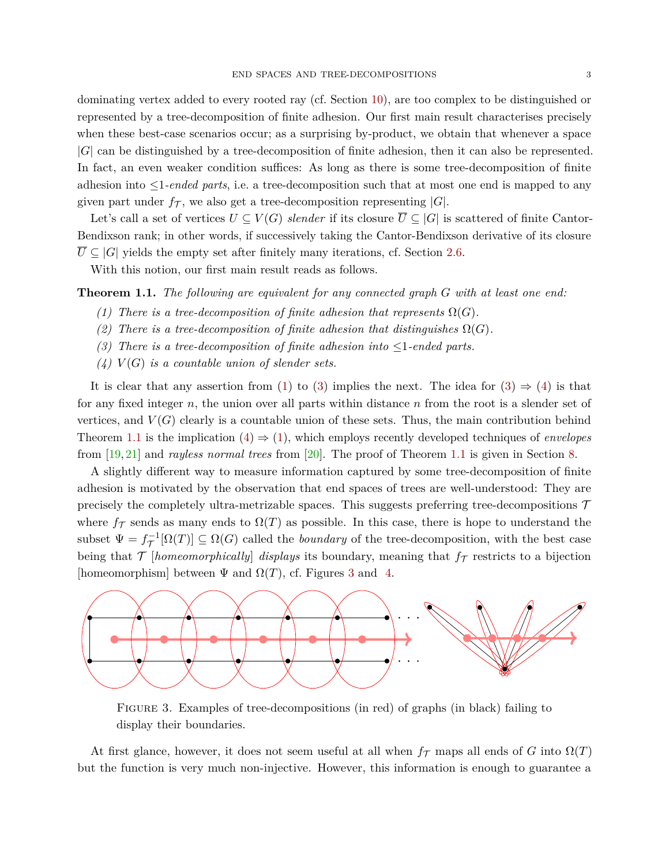dominating vertex added to every rooted ray (cf. Section [10\)](#page-24-0), are too complex to be distinguished or represented by a tree-decomposition of finite adhesion. Our first main result characterises precisely when these best-case scenarios occur; as a surprising by-product, we obtain that whenever a space |*G*| can be distinguished by a tree-decomposition of finite adhesion, then it can also be represented. In fact, an even weaker condition suffices: As long as there is some tree-decomposition of finite adhesion into ≤1*-ended parts*, i.e. a tree-decomposition such that at most one end is mapped to any given part under  $f_{\mathcal{T}}$ , we also get a tree-decomposition representing  $|G|$ .

Let's call a set of vertices  $U \subseteq V(G)$  *slender* if its closure  $\overline{U} \subseteq |G|$  is scattered of finite Cantor-Bendixson rank; in other words, if successively taking the Cantor-Bendixson derivative of its closure  $U \subseteq |G|$  yields the empty set after finitely many iterations, cf. Section [2.6.](#page-7-0)

With this notion, our first main result reads as follows.

<span id="page-2-3"></span><span id="page-2-0"></span>**Theorem 1.1.** *The following are equivalent for any connected graph G with at least one end:*

- *(1) There is a tree-decomposition of finite adhesion that represents*  $\Omega(G)$ *.*
- *(2) There is a tree-decomposition of finite adhesion that distinguishes*  $\Omega(G)$ *.*
- <span id="page-2-1"></span>*(3) There is a tree-decomposition of finite adhesion into* ≤1*-ended parts.*
- <span id="page-2-2"></span> $(4)$   $V(G)$  *is a countable union of slender sets.*

It is clear that any assertion from [\(1\)](#page-2-0) to [\(3\)](#page-2-1) implies the next. The idea for (3)  $\Rightarrow$  [\(4\)](#page-2-2) is that for any fixed integer *n*, the union over all parts within distance *n* from the root is a slender set of vertices, and  $V(G)$  clearly is a countable union of these sets. Thus, the main contribution behind Theorem [1.1](#page-2-3) is the implication  $(4) \Rightarrow (1)$  $(4) \Rightarrow (1)$  $(4) \Rightarrow (1)$ , which employs recently developed techniques of *envelopes* from [\[19,](#page-27-9) [21\]](#page-27-7) and *rayless normal trees* from [\[20\]](#page-27-4). The proof of Theorem [1.1](#page-2-3) is given in Section [8.](#page-20-0)

A slightly different way to measure information captured by some tree-decomposition of finite adhesion is motivated by the observation that end spaces of trees are well-understood: They are precisely the completely ultra-metrizable spaces. This suggests preferring tree-decompositions  $\mathcal T$ where  $f_{\mathcal{T}}$  sends as many ends to  $\Omega(T)$  as possible. In this case, there is hope to understand the subset  $\Psi = f_{\mathcal{T}}^{-1}[\Omega(T)] \subseteq \Omega(G)$  called the *boundary* of the tree-decomposition, with the best case being that  $\mathcal{T}$  [*homeomorphically*] *displays* its boundary, meaning that  $f_{\mathcal{T}}$  restricts to a bijection [homeomorphism] between  $\Psi$  and  $\Omega(T)$ , cf. Figures [3](#page-2-4) and [4.](#page-3-0)



<span id="page-2-4"></span>Figure 3. Examples of tree-decompositions (in red) of graphs (in black) failing to display their boundaries.

At first glance, however, it does not seem useful at all when  $f<sub>T</sub>$  maps all ends of *G* into  $\Omega(T)$ but the function is very much non-injective. However, this information is enough to guarantee a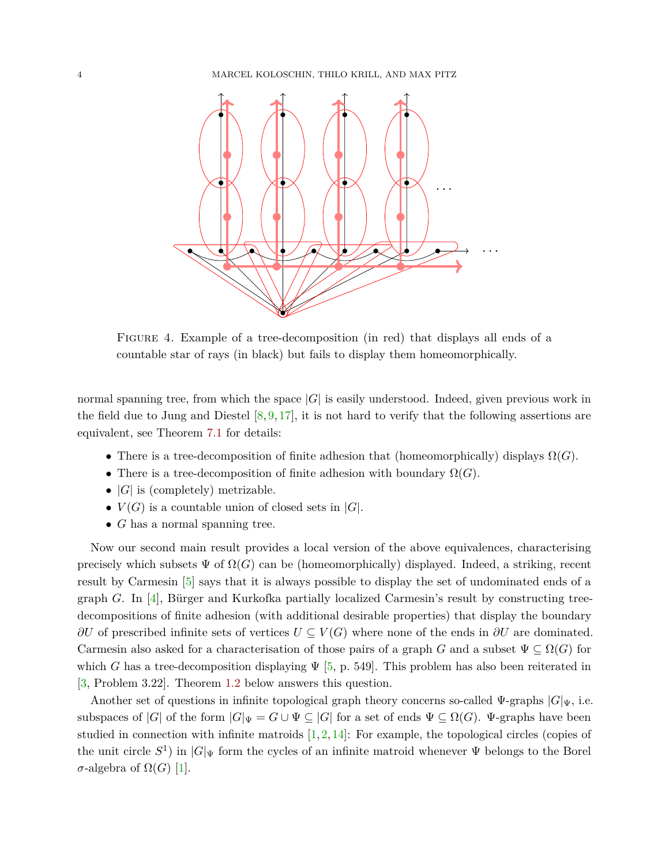

<span id="page-3-0"></span>Figure 4. Example of a tree-decomposition (in red) that displays all ends of a countable star of rays (in black) but fails to display them homeomorphically.

normal spanning tree, from which the space  $|G|$  is easily understood. Indeed, given previous work in the field due to Jung and Diestel  $[8, 9, 17]$  $[8, 9, 17]$  $[8, 9, 17]$  $[8, 9, 17]$  $[8, 9, 17]$ , it is not hard to verify that the following assertions are equivalent, see Theorem [7.1](#page-16-0) for details:

- There is a tree-decomposition of finite adhesion that (homeomorphically) displays  $\Omega(G)$ .
- There is a tree-decomposition of finite adhesion with boundary  $\Omega(G)$ .
- $|G|$  is (completely) metrizable.
- $V(G)$  is a countable union of closed sets in  $|G|$ .
- *G* has a normal spanning tree.

Now our second main result provides a local version of the above equivalences, characterising precisely which subsets  $\Psi$  of  $\Omega(G)$  can be (homeomorphically) displayed. Indeed, a striking, recent result by Carmesin [\[5\]](#page-27-12) says that it is always possible to display the set of undominated ends of a graph *G*. In [\[4\]](#page-26-2), Bürger and Kurkofka partially localized Carmesin's result by constructing treedecompositions of finite adhesion (with additional desirable properties) that display the boundary *∂U* of prescribed infinite sets of vertices  $U \subseteq V(G)$  where none of the ends in *∂U* are dominated. Carmesin also asked for a characterisation of those pairs of a graph *G* and a subset  $\Psi \subseteq \Omega(G)$  for which *G* has a tree-decomposition displaying  $\Psi$  [\[5,](#page-27-12) p. 549]. This problem has also been reiterated in [\[3,](#page-26-1) Problem 3.22]. Theorem [1.2](#page-4-0) below answers this question.

Another set of questions in infinite topological graph theory concerns so-called  $\Psi$ -graphs  $|G|_{\Psi}$ , i.e. subspaces of  $|G|$  of the form  $|G|_{\Psi} = G \cup \Psi \subseteq |G|$  for a set of ends  $\Psi \subseteq \Omega(G)$ .  $\Psi$ -graphs have been studied in connection with infinite matroids  $[1, 2, 14]$  $[1, 2, 14]$  $[1, 2, 14]$  $[1, 2, 14]$  $[1, 2, 14]$ : For example, the topological circles (copies of the unit circle  $S^1$ ) in  $|G|\Psi$  form the cycles of an infinite matroid whenever  $\Psi$  belongs to the Borel  $\sigma$ -algebra of  $\Omega(G)$  [\[1\]](#page-26-0).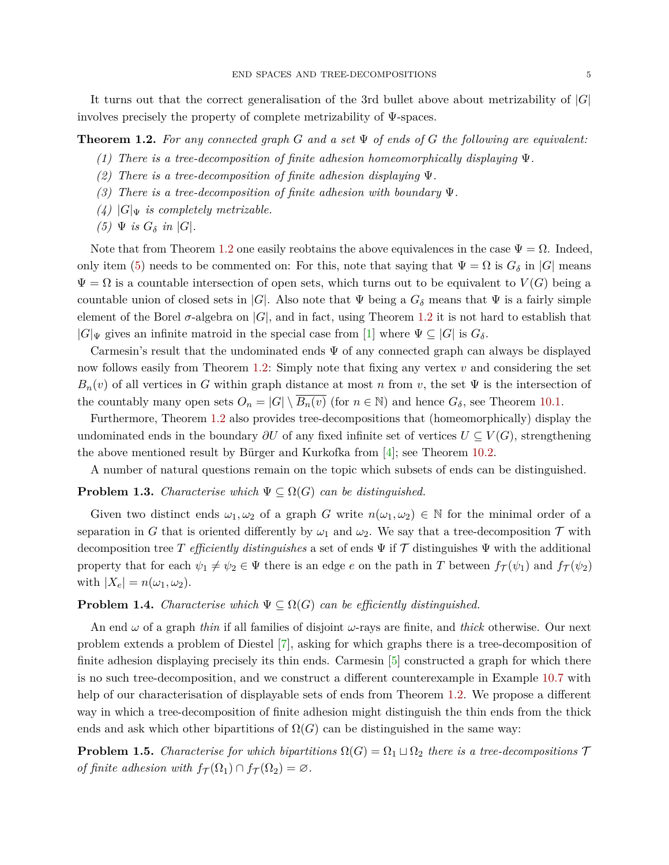It turns out that the correct generalisation of the 3rd bullet above about metrizability of |*G*| involves precisely the property of complete metrizability of Ψ-spaces.

<span id="page-4-0"></span>**Theorem 1.2.** *For any connected graph G and a set* Ψ *of ends of G the following are equivalent:*

*(1) There is a tree-decomposition of finite adhesion homeomorphically displaying* Ψ*.*

- *(2) There is a tree-decomposition of finite adhesion displaying* Ψ*.*
- *(3) There is a tree-decomposition of finite adhesion with boundary* Ψ*.*
- $(4)$   $|G|_{\Psi}$  *is completely metrizable.*
- <span id="page-4-1"></span> $(5)$   $\Psi$  *is*  $G_{\delta}$  *in*  $|G|$ *.*

Note that from Theorem [1.2](#page-4-0) one easily reobtains the above equivalences in the case  $\Psi = \Omega$ . Indeed, only item [\(5\)](#page-4-1) needs to be commented on: For this, note that saying that  $\Psi = \Omega$  is  $G_{\delta}$  in |*G*| means  $\Psi = \Omega$  is a countable intersection of open sets, which turns out to be equivalent to  $V(G)$  being a countable union of closed sets in |*G*|. Also note that  $\Psi$  being a  $G_{\delta}$  means that  $\Psi$  is a fairly simple element of the Borel  $\sigma$ -algebra on  $|G|$ , and in fact, using Theorem [1.2](#page-4-0) it is not hard to establish that  $|G|\Psi$  gives an infinite matroid in the special case from [\[1\]](#page-26-0) where  $\Psi \subseteq |G|$  is  $G_\delta$ .

Carmesin's result that the undominated ends  $\Psi$  of any connected graph can always be displayed now follows easily from Theorem [1.2:](#page-4-0) Simply note that fixing any vertex *v* and considering the set  $B_n(v)$  of all vertices in *G* within graph distance at most *n* from *v*, the set  $\Psi$  is the intersection of the countably many open sets  $O_n = |G| \setminus B_n(v)$  (for  $n \in \mathbb{N}$ ) and hence  $G_\delta$ , see Theorem [10.1.](#page-24-1)

Furthermore, Theorem [1.2](#page-4-0) also provides tree-decompositions that (homeomorphically) display the undominated ends in the boundary *∂U* of any fixed infinite set of vertices *U* ⊆ *V* (*G*), strengthening the above mentioned result by Bürger and Kurkofka from  $[4]$ ; see Theorem [10.2.](#page-24-2)

A number of natural questions remain on the topic which subsets of ends can be distinguished.

# **Problem 1.3.** *Characterise which*  $\Psi \subseteq \Omega(G)$  *can be distinguished.*

Given two distinct ends  $\omega_1, \omega_2$  of a graph *G* write  $n(\omega_1, \omega_2) \in \mathbb{N}$  for the minimal order of a separation in *G* that is oriented differently by  $\omega_1$  and  $\omega_2$ . We say that a tree-decomposition  $\mathcal T$  with decomposition tree *T efficiently distinguishes* a set of ends Ψ if T distinguishes Ψ with the additional property that for each  $\psi_1 \neq \psi_2 \in \Psi$  there is an edge *e* on the path in *T* between  $f_{\mathcal{T}}(\psi_1)$  and  $f_{\mathcal{T}}(\psi_2)$ with  $|X_e| = n(\omega_1, \omega_2)$ .

## **Problem 1.4.** *Characterise which*  $\Psi \subseteq \Omega(G)$  *can be efficiently distinguished.*

An end *ω* of a graph *thin* if all families of disjoint *ω*-rays are finite, and *thick* otherwise. Our next problem extends a problem of Diestel [\[7\]](#page-27-0), asking for which graphs there is a tree-decomposition of finite adhesion displaying precisely its thin ends. Carmesin [\[5\]](#page-27-12) constructed a graph for which there is no such tree-decomposition, and we construct a different counterexample in Example [10.7](#page-26-4) with help of our characterisation of displayable sets of ends from Theorem [1.2.](#page-4-0) We propose a different way in which a tree-decomposition of finite adhesion might distinguish the thin ends from the thick ends and ask which other bipartitions of  $\Omega(G)$  can be distinguished in the same way:

**Problem 1.5.** *Characterise for which bipartitions*  $\Omega(G) = \Omega_1 \sqcup \Omega_2$  *there is a tree-decompositions*  $\mathcal T$ *of finite adhesion with*  $f_{\mathcal{T}}(\Omega_1) \cap f_{\mathcal{T}}(\Omega_2) = \emptyset$ .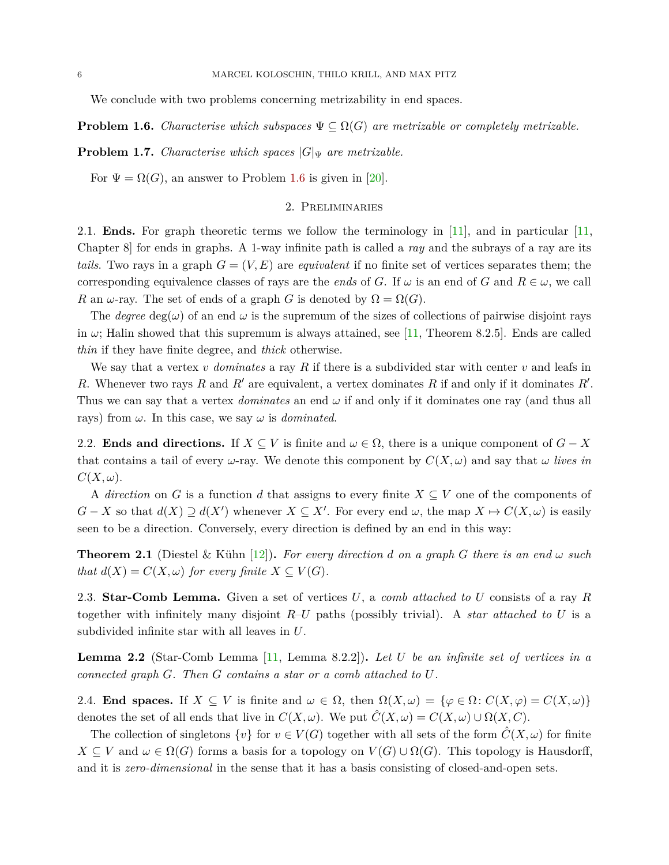We conclude with two problems concerning metrizability in end spaces.

<span id="page-5-1"></span>**Problem 1.6.** *Characterise which subspaces*  $\Psi \subseteq \Omega(G)$  *are metrizable or completely metrizable.* 

**Problem 1.7.** *Characterise which spaces*  $|G|_V$  *are metrizable.* 

<span id="page-5-0"></span>For  $\Psi = \Omega(G)$ , an answer to Problem [1.6](#page-5-1) is given in [\[20\]](#page-27-4).

## 2. Preliminaries

2.1. **Ends.** For graph theoretic terms we follow the terminology in [\[11\]](#page-27-14), and in particular [\[11,](#page-27-14) Chapter 8] for ends in graphs. A 1-way infinite path is called a *ray* and the subrays of a ray are its *tails*. Two rays in a graph  $G = (V, E)$  are *equivalent* if no finite set of vertices separates them; the corresponding equivalence classes of rays are the *ends* of *G*. If  $\omega$  is an end of *G* and  $R \in \omega$ , we call *R* an *ω*-ray. The set of ends of a graph *G* is denoted by  $\Omega = \Omega(G)$ .

The *degree* deg( $\omega$ ) of an end  $\omega$  is the supremum of the sizes of collections of pairwise disjoint rays in  $\omega$ ; Halin showed that this supremum is always attained, see [\[11,](#page-27-14) Theorem 8.2.5]. Ends are called *thin* if they have finite degree, and *thick* otherwise.

We say that a vertex *v dominates* a ray *R* if there is a subdivided star with center *v* and leafs in *R*. Whenever two rays *R* and  $R'$  are equivalent, a vertex dominates *R* if and only if it dominates  $R'$ . Thus we can say that a vertex *dominates* an end *ω* if and only if it dominates one ray (and thus all rays) from  $\omega$ . In this case, we say  $\omega$  is *dominated*.

2.2. **Ends and directions.** If  $X \subseteq V$  is finite and  $\omega \in \Omega$ , there is a unique component of  $G - X$ that contains a tail of every  $\omega$ -ray. We denote this component by  $C(X, \omega)$  and say that  $\omega$  *lives in*  $C(X, \omega)$ .

A *direction* on *G* is a function *d* that assigns to every finite  $X \subseteq V$  one of the components of *G* − *X* so that  $d(X) \supseteq d(X')$  whenever  $X \subseteq X'$ . For every end  $\omega$ , the map  $X \mapsto C(X, \omega)$  is easily seen to be a direction. Conversely, every direction is defined by an end in this way:

<span id="page-5-2"></span>**Theorem 2.1** (Diestel & Kühn [\[12\]](#page-27-15)). *For every direction d on a graph G there is an end*  $\omega$  *such that*  $d(X) = C(X, \omega)$  *for every finite*  $X \subseteq V(G)$ *.* 

2.3. **Star-Comb Lemma.** Given a set of vertices *U*, a *comb attached to U* consists of a ray *R* together with infinitely many disjoint *R*–*U* paths (possibly trivial). A *star attached to U* is a subdivided infinite star with all leaves in *U*.

<span id="page-5-3"></span>**Lemma 2.2** (Star-Comb Lemma [\[11,](#page-27-14) Lemma 8.2.2])**.** *Let U be an infinite set of vertices in a connected graph G. Then G contains a star or a comb attached to U.*

<span id="page-5-4"></span>2.4. **End spaces.** If  $X \subseteq V$  is finite and  $\omega \in \Omega$ , then  $\Omega(X,\omega) = \{\varphi \in \Omega : C(X,\varphi) = C(X,\omega)\}\$ denotes the set of all ends that live in  $C(X, \omega)$ . We put  $\hat{C}(X, \omega) = C(X, \omega) \cup \Omega(X, C)$ .

The collection of singletons  $\{v\}$  for  $v \in V(G)$  together with all sets of the form  $\tilde{C}(X,\omega)$  for finite  $X \subseteq V$  and  $\omega \in \Omega(G)$  forms a basis for a topology on  $V(G) \cup \Omega(G)$ . This topology is Hausdorff, and it is *zero-dimensional* in the sense that it has a basis consisting of closed-and-open sets.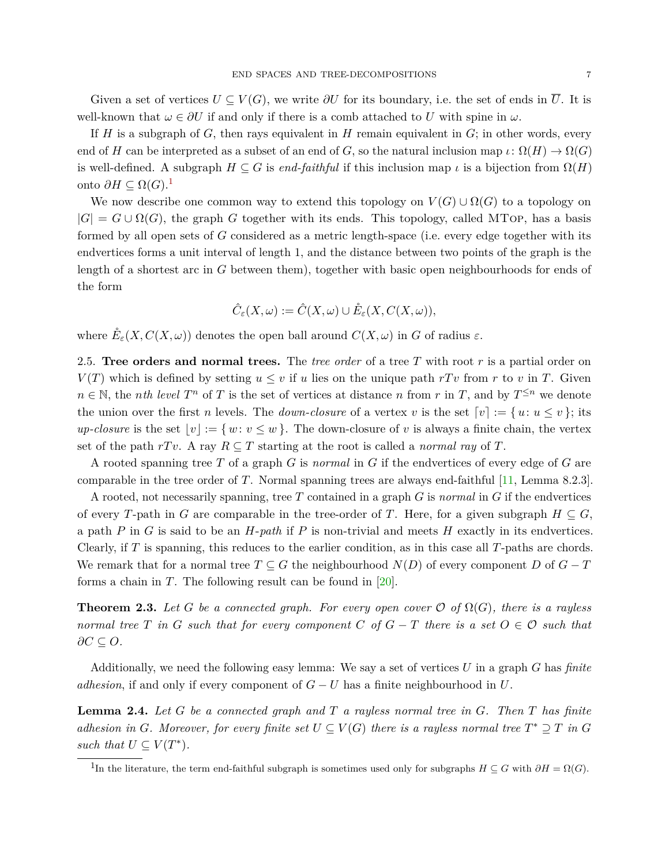Given a set of vertices  $U \subseteq V(G)$ , we write  $\partial U$  for its boundary, i.e. the set of ends in  $\overline{U}$ . It is well-known that  $\omega \in \partial U$  if and only if there is a comb attached to *U* with spine in  $\omega$ .

If *H* is a subgraph of *G*, then rays equivalent in *H* remain equivalent in *G*; in other words, every end of *H* can be interpreted as a subset of an end of *G*, so the natural inclusion map  $\iota: \Omega(H) \to \Omega(G)$ is well-defined. A subgraph  $H \subseteq G$  is *end-faithful* if this inclusion map  $\iota$  is a bijection from  $\Omega(H)$ onto *∂H* ⊆ Ω(*G*). [1](#page-6-0)

We now describe one common way to extend this topology on  $V(G) \cup \Omega(G)$  to a topology on  $|G| = G \cup \Omega(G)$ , the graph *G* together with its ends. This topology, called MTop, has a basis formed by all open sets of *G* considered as a metric length-space (i.e. every edge together with its endvertices forms a unit interval of length 1, and the distance between two points of the graph is the length of a shortest arc in *G* between them), together with basic open neighbourhoods for ends of the form

$$
\hat{C}_{\varepsilon}(X,\omega):=\hat{C}(X,\omega)\cup \mathring{E}_{\varepsilon}(X,C(X,\omega)),
$$

where  $\mathring{E}_{\varepsilon}(X, C(X, \omega))$  denotes the open ball around  $C(X, \omega)$  in *G* of radius  $\varepsilon$ .

2.5. **Tree orders and normal trees.** The *tree order* of a tree *T* with root *r* is a partial order on *V*(*T*) which is defined by setting  $u \leq v$  if *u* lies on the unique path *rTv* from *r* to *v* in *T*. Given  $n \in \mathbb{N}$ , the *nth level*  $T^n$  of *T* is the set of vertices at distance *n* from *r* in *T*, and by  $T^{\leq n}$  we denote the union over the first *n* levels. The *down-closure* of a vertex *v* is the set  $[v] := \{u : u \le v\}$ ; its *up-closure* is the set  $|v| := \{ w : v \leq w \}$ . The down-closure of *v* is always a finite chain, the vertex set of the path  $rTv$ . A ray  $R\subseteq T$  starting at the root is called a *normal ray* of T.

A rooted spanning tree *T* of a graph *G* is *normal* in *G* if the endvertices of every edge of *G* are comparable in the tree order of *T*. Normal spanning trees are always end-faithful [\[11,](#page-27-14) Lemma 8.2.3].

A rooted, not necessarily spanning, tree *T* contained in a graph *G* is *normal* in *G* if the endvertices of every *T*-path in *G* are comparable in the tree-order of *T*. Here, for a given subgraph  $H \subseteq G$ , a path *P* in *G* is said to be an *H*-*path* if *P* is non-trivial and meets *H* exactly in its endvertices. Clearly, if *T* is spanning, this reduces to the earlier condition, as in this case all *T*-paths are chords. We remark that for a normal tree  $T \subseteq G$  the neighbourhood  $N(D)$  of every component *D* of  $G - T$ forms a chain in *T*. The following result can be found in [\[20\]](#page-27-4).

<span id="page-6-1"></span>**Theorem 2.3.** Let *G* be a connected graph. For every open cover  $\mathcal{O}$  of  $\Omega(G)$ , there is a rayless *normal tree T in G such that for every component C of*  $G - T$  *there is a set*  $O \in \mathcal{O}$  *such that ∂C* ⊆ *O.*

Additionally, we need the following easy lemma: We say a set of vertices *U* in a graph *G* has *finite adhesion*, if and only if every component of *G* − *U* has a finite neighbourhood in *U*.

<span id="page-6-2"></span>**Lemma 2.4.** *Let G be a connected graph and T a rayless normal tree in G. Then T has finite adhesion in G*. Moreover, for every finite set  $U \subseteq V(G)$  there is a rayless normal tree  $T^* \supseteq T$  in G such that  $U \subseteq V(T^*)$ .

<span id="page-6-0"></span><sup>&</sup>lt;sup>1</sup>In the literature, the term end-faithful subgraph is sometimes used only for subgraphs  $H \subseteq G$  with  $\partial H = \Omega(G)$ .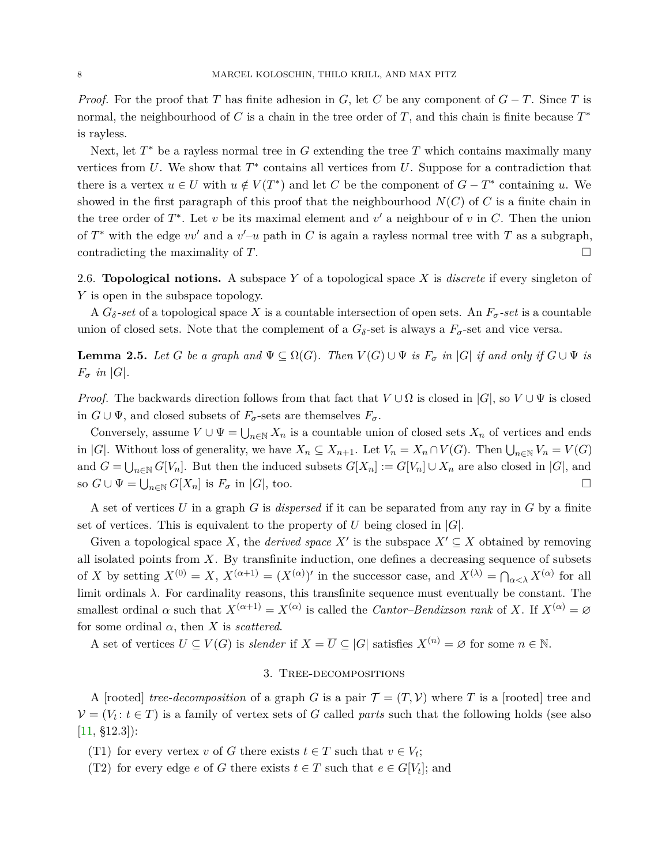*Proof.* For the proof that *T* has finite adhesion in *G*, let *C* be any component of  $G - T$ . Since *T* is normal, the neighbourhood of *C* is a chain in the tree order of *T*, and this chain is finite because *T* ∗ is rayless.

Next, let  $T^*$  be a rayless normal tree in  $G$  extending the tree  $T$  which contains maximally many vertices from  $U$ . We show that  $T^*$  contains all vertices from  $U$ . Suppose for a contradiction that there is a vertex  $u \in U$  with  $u \notin V(T^*)$  and let *C* be the component of  $G - T^*$  containing *u*. We showed in the first paragraph of this proof that the neighbourhood  $N(C)$  of *C* is a finite chain in the tree order of  $T^*$ . Let  $v$  be its maximal element and  $v'$  a neighbour of  $v$  in  $C$ . Then the union of  $T^*$  with the edge  $vv'$  and a  $v'-u$  path in C is again a rayless normal tree with T as a subgraph, contradicting the maximality of  $T$ .

<span id="page-7-0"></span>2.6. **Topological notions.** A subspace *Y* of a topological space *X* is *discrete* if every singleton of *Y* is open in the subspace topology.

A  $G_{\delta}$ -set of a topological space X is a countable intersection of open sets. An  $F_{\sigma}$ -set is a countable union of closed sets. Note that the complement of a  $G_{\delta}$ -set is always a  $F_{\sigma}$ -set and vice versa.

<span id="page-7-1"></span>**Lemma 2.5.** Let *G* be a graph and  $\Psi \subseteq \Omega(G)$ . Then  $V(G) \cup \Psi$  is  $F_{\sigma}$  in  $|G|$  if and only if  $G \cup \Psi$  is  $F_{\sigma}$  *in*  $|G|$ *.* 

*Proof.* The backwards direction follows from that fact that  $V \cup \Omega$  is closed in  $|G|$ , so  $V \cup \Psi$  is closed in  $G \cup \Psi$ , and closed subsets of  $F_{\sigma}$ -sets are themselves  $F_{\sigma}$ .

Conversely, assume  $V \cup \Psi = \bigcup_{n \in \mathbb{N}} X_n$  is a countable union of closed sets  $X_n$  of vertices and ends in |*G*|. Without loss of generality, we have  $X_n \subseteq X_{n+1}$ . Let  $V_n = X_n \cap V(G)$ . Then  $\bigcup_{n \in \mathbb{N}} V_n = V(G)$ and  $G = \bigcup_{n \in \mathbb{N}} G[V_n]$ . But then the induced subsets  $G[X_n] := G[V_n] \cup X_n$  are also closed in  $|G|$ , and so  $G \cup \Psi = \bigcup_{n \in \mathbb{N}} G[X_n]$  is  $F_{\sigma}$  in  $|G|$ , too.

A set of vertices *U* in a graph *G* is *dispersed* if it can be separated from any ray in *G* by a finite set of vertices. This is equivalent to the property of *U* being closed in  $|G|$ .

Given a topological space *X*, the *derived space*  $X'$  is the subspace  $X' \subseteq X$  obtained by removing all isolated points from *X*. By transfinite induction, one defines a decreasing sequence of subsets of *X* by setting  $X^{(0)} = X$ ,  $X^{(\alpha+1)} = (X^{(\alpha)})'$  in the successor case, and  $X^{(\lambda)} = \bigcap_{\alpha < \lambda} X^{(\alpha)}$  for all limit ordinals *λ*. For cardinality reasons, this transfinite sequence must eventually be constant. The smallest ordinal  $\alpha$  such that  $X^{(\alpha+1)} = X^{(\alpha)}$  is called the *Cantor–Bendixson rank* of *X*. If  $X^{(\alpha)} = \varnothing$ for some ordinal  $\alpha$ , then  $X$  is *scattered*.

A set of vertices  $U \subseteq V(G)$  is *slender* if  $X = \overline{U} \subseteq |G|$  satisfies  $X^{(n)} = \emptyset$  for some  $n \in \mathbb{N}$ .

## 3. Tree-decompositions

A [rooted] *tree-decomposition* of a graph *G* is a pair  $\mathcal{T} = (T, \mathcal{V})$  where *T* is a [rooted] tree and  $V = (V_t : t \in T)$  is a family of vertex sets of *G* called *parts* such that the following holds (see also  $[11, $12.3]$  $[11, $12.3]$ :

(T1) for every vertex *v* of *G* there exists  $t \in T$  such that  $v \in V_t$ ;

(T2) for every edge *e* of *G* there exists  $t \in T$  such that  $e \in G[V_t]$ ; and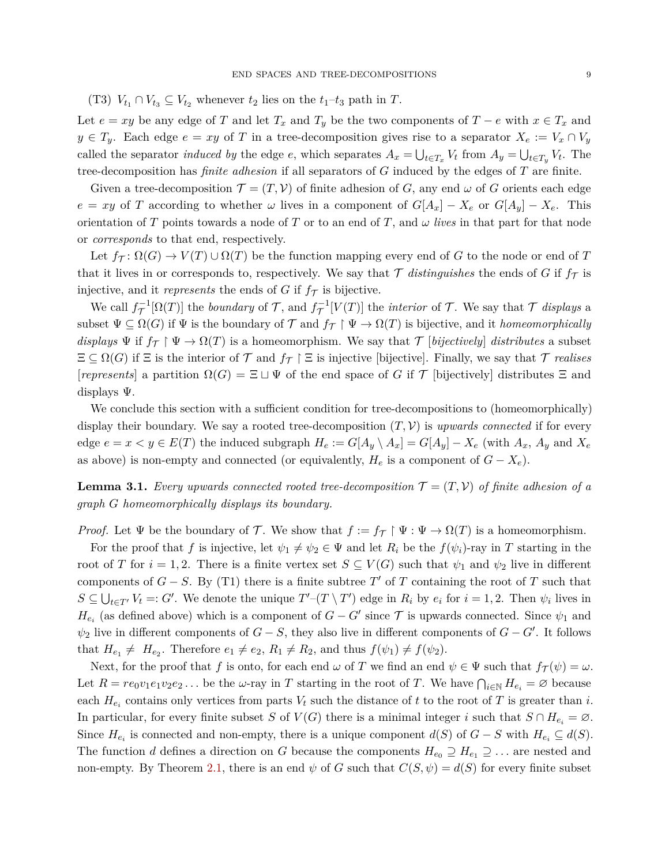(T3)  $V_{t_1} \cap V_{t_3} \subseteq V_{t_2}$  whenever  $t_2$  lies on the  $t_1-t_3$  path in  $T$ .

Let  $e = xy$  be any edge of *T* and let  $T_x$  and  $T_y$  be the two components of  $T - e$  with  $x \in T_x$  and  $y \in T_y$ . Each edge  $e = xy$  of *T* in a tree-decomposition gives rise to a separator  $X_e := V_x \cap V_y$ called the separator *induced by* the edge *e*, which separates  $A_x = \bigcup_{t \in T_x} V_t$  from  $A_y = \bigcup_{t \in T_y} V_t$ . The tree-decomposition has *finite adhesion* if all separators of *G* induced by the edges of *T* are finite.

Given a tree-decomposition  $\mathcal{T} = (T, \mathcal{V})$  of finite adhesion of *G*, any end  $\omega$  of *G* orients each edge  $e = xy$  of *T* according to whether *ω* lives in a component of  $G[A_x] - X_e$  or  $G[A_y] - X_e$ . This orientation of *T* points towards a node of *T* or to an end of *T*, and  $\omega$  *lives* in that part for that node or *corresponds* to that end, respectively.

Let  $f_T: \Omega(G) \to V(T) \cup \Omega(T)$  be the function mapping every end of G to the node or end of T that it lives in or corresponds to, respectively. We say that  $\mathcal T$  *distinguishes* the ends of G if  $f_{\mathcal T}$  is injective, and it *represents* the ends of  $G$  if  $f<sub>T</sub>$  is bijective.

We call  $f^{-1}_\mathcal{T}[\Omega(T)]$  the *boundary* of T, and  $f^{-1}_\mathcal{T}[V(T)]$  the *interior* of T. We say that T *displays* a subset  $\Psi \subseteq \Omega(G)$  if  $\Psi$  is the boundary of  $\mathcal T$  and  $f_{\mathcal T} \upharpoonright \Psi \to \Omega(T)$  is bijective, and it *homeomorphically displays*  $\Psi$  if  $f_{\mathcal{T}} \upharpoonright \Psi \to \Omega(T)$  is a homeomorphism. We say that  $\mathcal{T}$  [*bijectively*] *distributes* a subset  $\Xi \subseteq \Omega(G)$  if  $\Xi$  is the interior of  $\mathcal T$  and  $f_{\mathcal T} \upharpoonright \Xi$  is injective [bijective]. Finally, we say that  $\mathcal T$  *realises*  $[represents]$  a partition  $\Omega(G) = \Xi \sqcup \Psi$  of the end space of *G* if  $\mathcal T$  [bijectively] distributes  $\Xi$  and displays Ψ.

We conclude this section with a sufficient condition for tree-decompositions to (homeomorphically) display their boundary. We say a rooted tree-decomposition  $(T, V)$  is *upwards connected* if for every edge  $e = x < y \in E(T)$  the induced subgraph  $H_e := G[A_y \setminus A_x] = G[A_y] - X_e$  (with  $A_x$ ,  $A_y$  and  $X_e$ as above) is non-empty and connected (or equivalently,  $H_e$  is a component of  $G - X_e$ ).

<span id="page-8-0"></span>**Lemma 3.1.** *Every upwards connected rooted tree-decomposition*  $\mathcal{T} = (T, \mathcal{V})$  *of finite adhesion of a graph G homeomorphically displays its boundary.*

*Proof.* Let  $\Psi$  be the boundary of T. We show that  $f := f_{\mathcal{T}} \upharpoonright \Psi : \Psi \to \Omega(T)$  is a homeomorphism.

For the proof that *f* is injective, let  $\psi_1 \neq \psi_2 \in \Psi$  and let  $R_i$  be the  $f(\psi_i)$ -ray in *T* starting in the root of *T* for  $i = 1, 2$ . There is a finite vertex set  $S \subseteq V(G)$  such that  $\psi_1$  and  $\psi_2$  live in different components of  $G - S$ . By (T1) there is a finite subtree  $T'$  of  $T$  containing the root of  $T$  such that  $S \subseteq \bigcup_{t \in T'} V_t =: G'.$  We denote the unique  $T'_{\perp}(T \setminus T')$  edge in  $R_i$  by  $e_i$  for  $i = 1, 2$ . Then  $\psi_i$  lives in  $H_{e_i}$  (as defined above) which is a component of  $G - G'$  since  $\mathcal T$  is upwards connected. Since  $\psi_1$  and  $\psi_2$  live in different components of *G* − *S*, they also live in different components of *G* − *G*<sup> $\prime$ </sup>. It follows that  $H_{e_1} \neq H_{e_2}$ . Therefore  $e_1 \neq e_2$ ,  $R_1 \neq R_2$ , and thus  $f(\psi_1) \neq f(\psi_2)$ .

Next, for the proof that *f* is onto, for each end  $\omega$  of *T* we find an end  $\psi \in \Psi$  such that  $f_{\mathcal{T}}(\psi) = \omega$ . Let  $R = re_0v_1e_1v_2e_2...$  be the *w*-ray in *T* starting in the root of *T*. We have  $\bigcap_{i\in\mathbb{N}} H_{e_i} = \emptyset$  because each  $H_{e_i}$  contains only vertices from parts  $V_t$  such the distance of  $t$  to the root of  $T$  is greater than  $i$ . In particular, for every finite subset *S* of  $V(G)$  there is a minimal integer *i* such that  $S \cap H_{e_i} = \emptyset$ . Since  $H_{e_i}$  is connected and non-empty, there is a unique component  $d(S)$  of  $G - S$  with  $H_{e_i} \subseteq d(S)$ . The function *d* defines a direction on *G* because the components  $H_{e_0} \supseteq H_{e_1} \supseteq \ldots$  are nested and non-empty. By Theorem [2.1,](#page-5-2) there is an end  $\psi$  of *G* such that  $C(S, \psi) = d(S)$  for every finite subset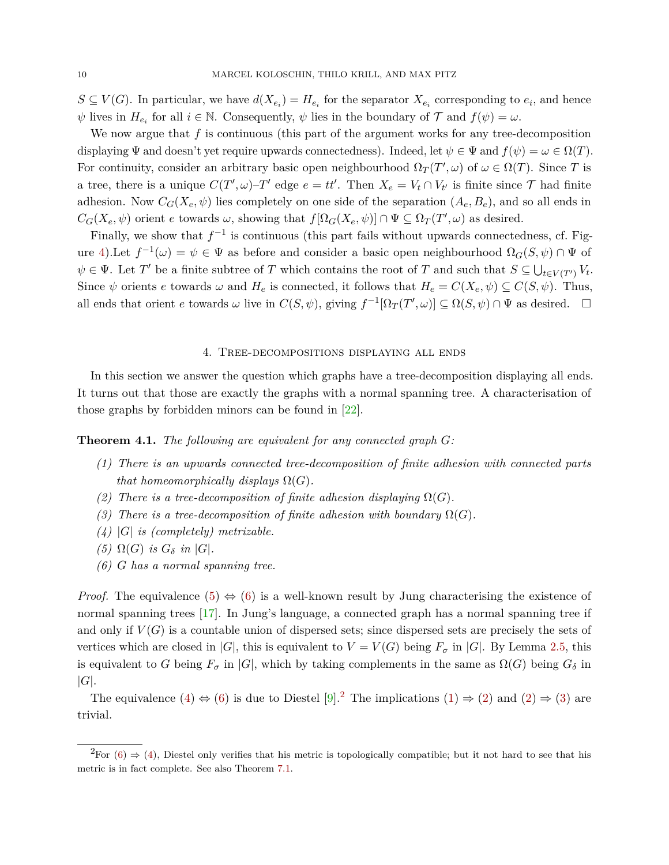$S \subseteq V(G)$ . In particular, we have  $d(X_{e_i}) = H_{e_i}$  for the separator  $X_{e_i}$  corresponding to  $e_i$ , and hence  $\psi$  lives in  $H_{e_i}$  for all  $i \in \mathbb{N}$ . Consequently,  $\psi$  lies in the boundary of  $\mathcal{T}$  and  $f(\psi) = \omega$ .

We now argue that f is continuous (this part of the argument works for any tree-decomposition displaying  $\Psi$  and doesn't yet require upwards connectedness). Indeed, let  $\psi \in \Psi$  and  $f(\psi) = \omega \in \Omega(T)$ . For continuity, consider an arbitrary basic open neighbourhood  $\Omega_T(T', \omega)$  of  $\omega \in \Omega(T)$ . Since *T* is a tree, there is a unique  $C(T', \omega)$ -T' edge  $e = tt'$ . Then  $X_e = V_t \cap V_{t'}$  is finite since  $\mathcal T$  had finite adhesion. Now  $C_G(X_e, \psi)$  lies completely on one side of the separation  $(A_e, B_e)$ , and so all ends in  $C_G(X_e, \psi)$  orient *e* towards *ω*, showing that  $f[\Omega_G(X_e, \psi)] \cap \Psi \subseteq \Omega_T(T', \omega)$  as desired.

Finally, we show that  $f^{-1}$  is continuous (this part fails without upwards connectedness, cf. Fig-ure [4\)](#page-3-0). Let  $f^{-1}(\omega) = \psi \in \Psi$  as before and consider a basic open neighbourhood  $\Omega_G(S, \psi) \cap \Psi$  of  $\psi \in \Psi$ . Let *T*<sup> $\prime$ </sup> be a finite subtree of *T* which contains the root of *T* and such that  $S \subseteq \bigcup_{t \in V(T')} V_t$ . Since  $\psi$  orients *e* towards  $\omega$  and  $H_e$  is connected, it follows that  $H_e = C(X_e, \psi) \subseteq C(S, \psi)$ . Thus, all ends that orient *e* towards  $\omega$  live in  $C(S, \psi)$ , giving  $f^{-1}[\Omega_T(T', \omega)] \subseteq \Omega(S, \psi) \cap \Psi$  as desired.  $\square$ 

## 4. Tree-decompositions displaying all ends

In this section we answer the question which graphs have a tree-decomposition displaying all ends. It turns out that those are exactly the graphs with a normal spanning tree. A characterisation of those graphs by forbidden minors can be found in [\[22\]](#page-27-16).

<span id="page-9-7"></span><span id="page-9-4"></span>**Theorem 4.1.** *The following are equivalent for any connected graph G:*

- *(1) There is an upwards connected tree-decomposition of finite adhesion with connected parts that homeomorphically displays*  $\Omega(G)$ *.*
- <span id="page-9-5"></span>*(2) There is a tree-decomposition of finite adhesion displaying*  $\Omega(G)$ *.*
- <span id="page-9-6"></span>*(3) There is a tree-decomposition of finite adhesion with boundary*  $\Omega(G)$ *.*
- <span id="page-9-2"></span>*(4)* |*G*| *is (completely) metrizable.*
- <span id="page-9-0"></span> $(5)$   $\Omega(G)$  *is*  $G_{\delta}$  *in*  $|G|$ *.*
- <span id="page-9-1"></span>*(6) G has a normal spanning tree.*

*Proof.* The equivalence [\(5\)](#page-9-0)  $\Leftrightarrow$  [\(6\)](#page-9-1) is a well-known result by Jung characterising the existence of normal spanning trees [\[17\]](#page-27-11). In Jung's language, a connected graph has a normal spanning tree if and only if  $V(G)$  is a countable union of dispersed sets; since dispersed sets are precisely the sets of vertices which are closed in |*G*|, this is equivalent to  $V = V(G)$  being  $F_{\sigma}$  in |*G*|. By Lemma [2.5,](#page-7-1) this is equivalent to *G* being  $F_{\sigma}$  in  $|G|$ , which by taking complements in the same as  $\Omega(G)$  being  $G_{\delta}$  in |*G*|.

The equivalence [\(4\)](#page-9-2)  $\Leftrightarrow$  [\(6\)](#page-9-1) is due to Diestel [\[9\]](#page-27-1).<sup>[2](#page-9-3)</sup> The implications [\(1\)](#page-9-4)  $\Rightarrow$  [\(2\)](#page-9-5) and (2)  $\Rightarrow$  [\(3\)](#page-9-6) are trivial.

<span id="page-9-3"></span><sup>&</sup>lt;sup>2</sup>For [\(6\)](#page-9-1)  $\Rightarrow$  [\(4\)](#page-9-2), Diestel only verifies that his metric is topologically compatible; but it not hard to see that his metric is in fact complete. See also Theorem [7.1.](#page-16-0)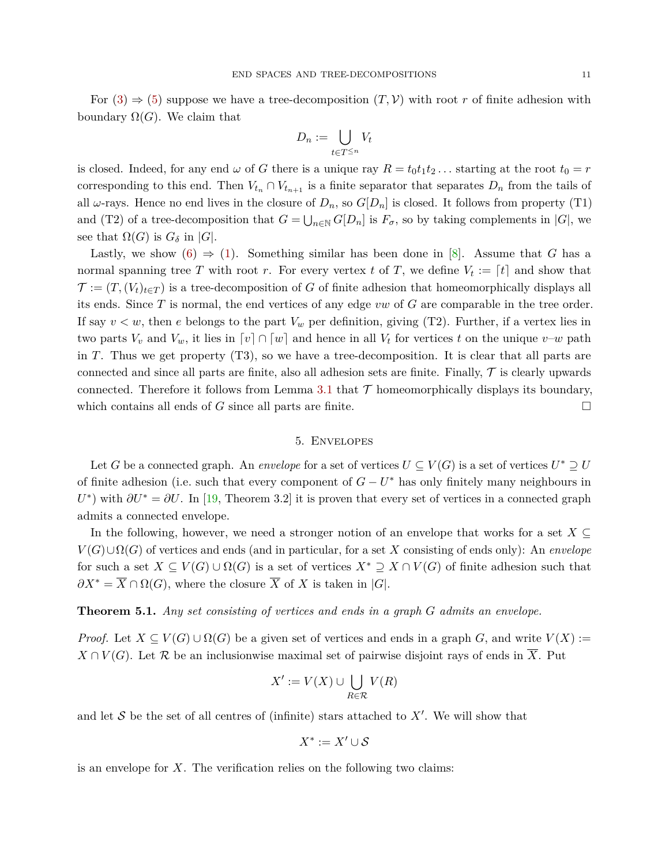For  $(3) \Rightarrow (5)$  $(3) \Rightarrow (5)$  $(3) \Rightarrow (5)$  suppose we have a tree-decomposition  $(T, V)$  with root r of finite adhesion with boundary  $\Omega(G)$ . We claim that

$$
D_n := \bigcup_{t \in T^{\leq n}} V_t
$$

is closed. Indeed, for any end  $\omega$  of G there is a unique ray  $R = t_0 t_1 t_2 \ldots$  starting at the root  $t_0 = r$ corresponding to this end. Then  $V_{t_n} \cap V_{t_{n+1}}$  is a finite separator that separates  $D_n$  from the tails of all  $\omega$ -rays. Hence no end lives in the closure of  $D_n$ , so  $G[D_n]$  is closed. It follows from property (T1) and (T2) of a tree-decomposition that  $G = \bigcup_{n \in \mathbb{N}} G[D_n]$  is  $F_{\sigma}$ , so by taking complements in  $|G|$ , we see that  $\Omega(G)$  is  $G_{\delta}$  in  $|G|$ .

Lastly, we show  $(6) \Rightarrow (1)$  $(6) \Rightarrow (1)$  $(6) \Rightarrow (1)$ . Something similar has been done in [\[8\]](#page-27-10). Assume that G has a normal spanning tree *T* with root *r*. For every vertex *t* of *T*, we define  $V_t := [t]$  and show that  $\mathcal{T} := (T, (V_t)_{t \in T})$  is a tree-decomposition of *G* of finite adhesion that homeomorphically displays all its ends. Since *T* is normal, the end vertices of any edge *vw* of *G* are comparable in the tree order. If say  $v < w$ , then *e* belongs to the part  $V_w$  per definition, giving (T2). Further, if a vertex lies in two parts  $V_v$  and  $V_w$ , it lies in  $\lceil v \rceil \cap \lceil w \rceil$  and hence in all  $V_t$  for vertices  $t$  on the unique  $v-w$  path in *T*. Thus we get property (T3), so we have a tree-decomposition. It is clear that all parts are connected and since all parts are finite, also all adhesion sets are finite. Finally,  $\mathcal T$  is clearly upwards connected. Therefore it follows from Lemma [3.1](#page-8-0) that  $\mathcal T$  homeomorphically displays its boundary, which contains all ends of *G* since all parts are finite.  $\Box$ 

#### 5. Envelopes

Let *G* be a connected graph. An *envelope* for a set of vertices  $U \subseteq V(G)$  is a set of vertices  $U^* \supseteq U$ of finite adhesion (i.e. such that every component of  $G - U^*$  has only finitely many neighbours in  $U^*$ ) with  $\partial U^* = \partial U$ . In [\[19,](#page-27-9) Theorem 3.2] it is proven that every set of vertices in a connected graph admits a connected envelope.

In the following, however, we need a stronger notion of an envelope that works for a set  $X \subseteq$  $V(G) \cup \Omega(G)$  of vertices and ends (and in particular, for a set X consisting of ends only): An *envelope* for such a set  $X \subseteq V(G) \cup \Omega(G)$  is a set of vertices  $X^* \supseteq X \cap V(G)$  of finite adhesion such that  $\partial X^* = \overline{X} \cap \Omega(G)$ , where the closure  $\overline{X}$  of *X* is taken in |*G*|.

<span id="page-10-0"></span>**Theorem 5.1.** *Any set consisting of vertices and ends in a graph G admits an envelope.*

*Proof.* Let  $X \subseteq V(G) \cup \Omega(G)$  be a given set of vertices and ends in a graph *G*, and write  $V(X) :=$  $X \cap V(G)$ . Let R be an inclusionwise maximal set of pairwise disjoint rays of ends in  $\overline{X}$ . Put

$$
X' := V(X) \cup \bigcup_{R \in \mathcal{R}} V(R)
$$

and let  $S$  be the set of all centres of (infinite) stars attached to  $X'$ . We will show that

$$
X^*:=X'\cup\mathcal{S}
$$

is an envelope for *X*. The verification relies on the following two claims: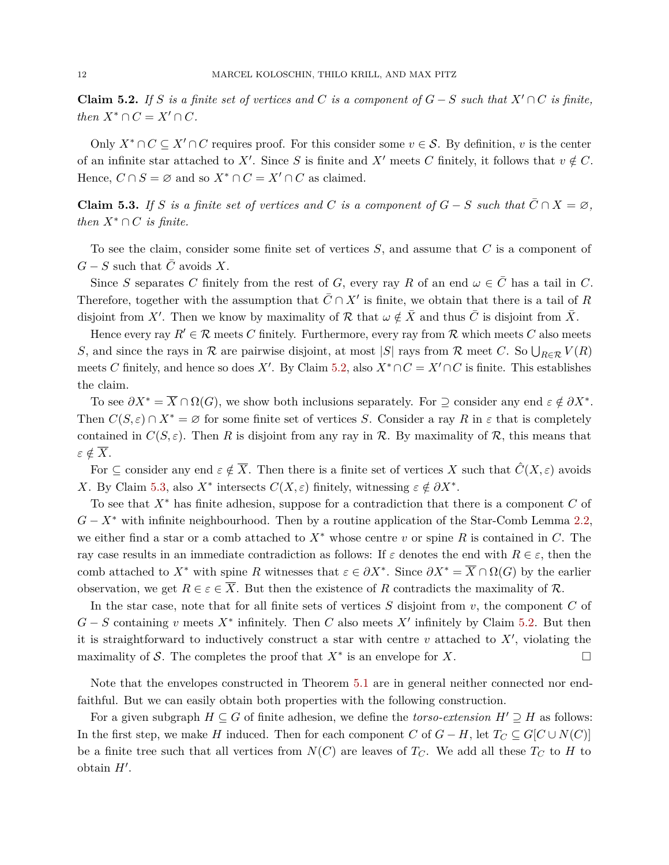<span id="page-11-0"></span>**Claim 5.2.** *If S is a finite set of vertices and C is a component of*  $G-S$  *such that*  $X' \cap C$  *is finite, then*  $X^* \cap C = X' \cap C$ *.* 

Only  $X^* \cap C \subseteq X' \cap C$  requires proof. For this consider some  $v \in S$ . By definition, *v* is the center of an infinite star attached to X'. Since *S* is finite and X' meets *C* finitely, it follows that  $v \notin C$ . Hence,  $C \cap S = \emptyset$  and so  $X^* \cap C = X' \cap C$  as claimed.

<span id="page-11-1"></span>**Claim 5.3.** *If S is a finite set of vertices and C is a component of*  $G - S$  *such that*  $\overline{C} \cap X = \emptyset$ *, then*  $X^* \cap C$  *is finite.* 

To see the claim, consider some finite set of vertices *S*, and assume that *C* is a component of  $G - S$  such that  $C$  avoids  $X$ .

Since *S* separates *C* finitely from the rest of *G*, every ray *R* of an end  $\omega \in \overline{C}$  has a tail in *C*. Therefore, together with the assumption that  $\bar{C} \cap X'$  is finite, we obtain that there is a tail of *R* disjoint from X'. Then we know by maximality of R that  $\omega \notin \overline{X}$  and thus  $\overline{C}$  is disjoint from  $\overline{X}$ .

Hence every ray  $R' \in \mathcal{R}$  meets *C* finitely. Furthermore, every ray from  $\mathcal{R}$  which meets *C* also meets *S*, and since the rays in  $\mathcal R$  are pairwise disjoint, at most |*S*| rays from  $\mathcal R$  meet *C*. So  $\bigcup_{R\in\mathcal R} V(R)$ meets *C* finitely, and hence so does *X'*. By Claim [5.2,](#page-11-0) also  $X^* \cap C = X' \cap C$  is finite. This establishes the claim.

To see  $\partial X^* = \overline{X} \cap \Omega(G)$ , we show both inclusions separately. For  $\supseteq$  consider any end  $\varepsilon \notin \partial X^*$ . Then  $C(S, \varepsilon) \cap X^* = \emptyset$  for some finite set of vertices *S*. Consider a ray *R* in  $\varepsilon$  that is completely contained in  $C(S, \varepsilon)$ . Then *R* is disjoint from any ray in R. By maximality of R, this means that  $\varepsilon \notin \overline{X}$ .

For  $\subseteq$  consider any end  $\varepsilon \notin \overline{X}$ . Then there is a finite set of vertices X such that  $\hat{C}(X,\varepsilon)$  avoids *X*. By Claim [5.3,](#page-11-1) also *X*<sup>\*</sup> intersects  $C(X, \varepsilon)$  finitely, witnessing  $\varepsilon \notin \partial X^*$ .

To see that *X*<sup>∗</sup> has finite adhesion, suppose for a contradiction that there is a component *C* of *G* − *X*<sup>∗</sup> with infinite neighbourhood. Then by a routine application of the Star-Comb Lemma [2.2,](#page-5-3) we either find a star or a comb attached to *X*<sup>∗</sup> whose centre *v* or spine *R* is contained in *C*. The ray case results in an immediate contradiction as follows: If  $\varepsilon$  denotes the end with  $R \in \varepsilon$ , then the comb attached to  $X^*$  with spine  $R$  witnesses that  $\varepsilon \in \partial X^*$ . Since  $\partial X^* = \overline{X} \cap \Omega(G)$  by the earlier observation, we get  $R \in \varepsilon \in \overline{X}$ . But then the existence of R contradicts the maximality of R.

In the star case, note that for all finite sets of vertices *S* disjoint from *v*, the component *C* of  $G-S$  containing *v* meets  $X^*$  infinitely. Then *C* also meets  $X'$  infinitely by Claim [5.2.](#page-11-0) But then it is straightforward to inductively construct a star with centre  $v$  attached to  $X'$ , violating the maximality of S. The completes the proof that  $X^*$  is an envelope for  $X$ .

Note that the envelopes constructed in Theorem [5.1](#page-10-0) are in general neither connected nor endfaithful. But we can easily obtain both properties with the following construction.

For a given subgraph  $H \subseteq G$  of finite adhesion, we define the *torso-extension*  $H' \supseteq H$  as follows: In the first step, we make *H* induced. Then for each component *C* of  $G - H$ , let  $T_C \subseteq G[C \cup N(C)]$ be a finite tree such that all vertices from  $N(C)$  are leaves of  $T_C$ . We add all these  $T_C$  to  $H$  to  $obtain H'.$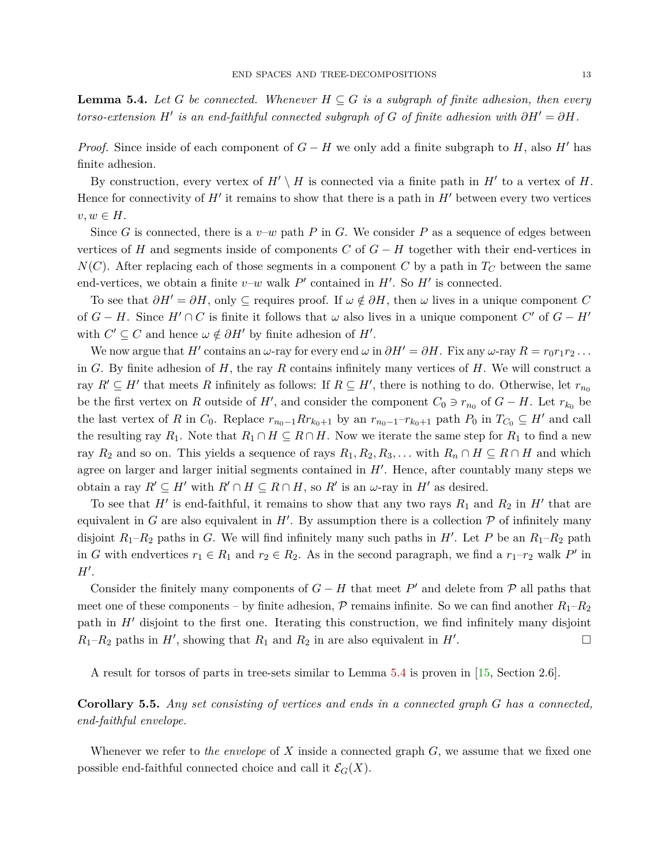<span id="page-12-0"></span>**Lemma 5.4.** Let *G* be connected. Whenever  $H \subseteq G$  is a subgraph of finite adhesion, then every *torso-extension*  $H'$  *is an end-faithful connected subgraph of*  $G$  *of finite adhesion with*  $\partial H' = \partial H$ *.* 

*Proof.* Since inside of each component of  $G - H$  we only add a finite subgraph to *H*, also *H*<sup> $\prime$ </sup> has finite adhesion.

By construction, every vertex of  $H' \setminus H$  is connected via a finite path in  $H'$  to a vertex of  $H$ . Hence for connectivity of  $H'$  it remains to show that there is a path in  $H'$  between every two vertices  $v, w \in H$ .

Since *G* is connected, there is a  $v-w$  path *P* in *G*. We consider *P* as a sequence of edges between vertices of *H* and segments inside of components *C* of  $G - H$  together with their end-vertices in  $N(C)$ . After replacing each of those segments in a component *C* by a path in  $T_C$  between the same end-vertices, we obtain a finite  $v-w$  walk  $P'$  contained in  $H'$ . So  $H'$  is connected.

To see that  $\partial H' = \partial H$ , only  $\subseteq$  requires proof. If  $\omega \notin \partial H$ , then  $\omega$  lives in a unique component *C* of  $G - H$ . Since  $H' \cap C$  is finite it follows that  $\omega$  also lives in a unique component  $C'$  of  $G - H'$ with  $C' \subseteq C$  and hence  $\omega \notin \partial H'$  by finite adhesion of  $H'$ .

We now argue that  $H'$  contains an  $\omega$ -ray for every end  $\omega$  in  $\partial H' = \partial H$ . Fix any  $\omega$ -ray  $R = r_0 r_1 r_2 \dots$ in *G*. By finite adhesion of *H*, the ray *R* contains infinitely many vertices of *H*. We will construct a ray  $R' \subseteq H'$  that meets R infinitely as follows: If  $R \subseteq H'$ , there is nothing to do. Otherwise, let  $r_{n_0}$ be the first vertex on *R* outside of *H'*, and consider the component  $C_0 \ni r_{n_0}$  of  $G - H$ . Let  $r_{k_0}$  be the last vertex of *R* in  $C_0$ . Replace  $r_{n_0-1}Rr_{k_0+1}$  by an  $r_{n_0-1}-r_{k_0+1}$  path  $P_0$  in  $T_{C_0} \subseteq H'$  and call the resulting ray  $R_1$ . Note that  $R_1 \cap H \subseteq R \cap H$ . Now we iterate the same step for  $R_1$  to find a new ray  $R_2$  and so on. This yields a sequence of rays  $R_1, R_2, R_3, \ldots$  with  $R_n \cap H \subseteq R \cap H$  and which agree on larger and larger initial segments contained in  $H'$ . Hence, after countably many steps we obtain a ray  $R' \subseteq H'$  with  $R' \cap H \subseteq R \cap H$ , so  $R'$  is an  $\omega$ -ray in  $H'$  as desired.

To see that  $H'$  is end-faithful, it remains to show that any two rays  $R_1$  and  $R_2$  in  $H'$  that are equivalent in *G* are also equivalent in  $H'$ . By assumption there is a collection  $P$  of infinitely many disjoint  $R_1-R_2$  paths in *G*. We will find infinitely many such paths in *H'*. Let *P* be an  $R_1-R_2$  path in *G* with endvertices  $r_1 \in R_1$  and  $r_2 \in R_2$ . As in the second paragraph, we find a  $r_1-r_2$  walk  $P'$  in *H*<sup> $\prime$ </sup>.

Consider the finitely many components of  $G - H$  that meet P' and delete from P all paths that meet one of these components – by finite adhesion,  $P$  remains infinite. So we can find another  $R_1-R_2$ path in  $H'$  disjoint to the first one. Iterating this construction, we find infinitely many disjoint  $R_1-R_2$  paths in  $H'$ , showing that  $R_1$  and  $R_2$  in are also equivalent in  $H'$ . — Первый процесс в постановки программа в серверном становки производительно становки производительно станов<br>В серверном становки производительно становки производительно становки производительно становки производительн

A result for torsos of parts in tree-sets similar to Lemma [5.4](#page-12-0) is proven in [\[15,](#page-27-17) Section 2.6].

<span id="page-12-1"></span>**Corollary 5.5.** *Any set consisting of vertices and ends in a connected graph G has a connected, end-faithful envelope.*

Whenever we refer to *the envelope* of *X* inside a connected graph *G*, we assume that we fixed one possible end-faithful connected choice and call it  $\mathcal{E}_G(X)$ .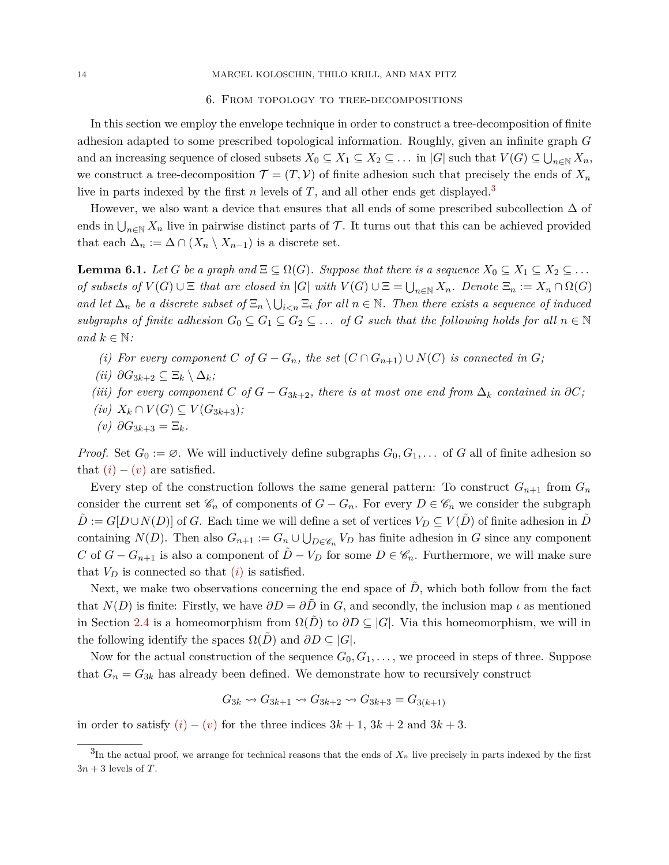#### 14 MARCEL KOLOSCHIN, THILO KRILL, AND MAX PITZ

## 6. From topology to tree-decompositions

In this section we employ the envelope technique in order to construct a tree-decomposition of finite adhesion adapted to some prescribed topological information. Roughly, given an infinite graph *G* and an increasing sequence of closed subsets  $X_0 \subseteq X_1 \subseteq X_2 \subseteq \ldots$  in  $|G|$  such that  $V(G) \subseteq \bigcup_{n \in \mathbb{N}} X_n$ , we construct a tree-decomposition  $\mathcal{T} = (T, \mathcal{V})$  of finite adhesion such that precisely the ends of  $X_n$ live in parts indexed by the first *n* levels of *T*, and all other ends get displayed.<sup>[3](#page-13-0)</sup>

However, we also want a device that ensures that all ends of some prescribed subcollection  $\Delta$  of ends in  $\bigcup_{n\in\mathbb{N}} X_n$  live in pairwise distinct parts of T. It turns out that this can be achieved provided that each  $\Delta_n := \Delta \cap (X_n \setminus X_{n-1})$  is a discrete set.

<span id="page-13-6"></span>**Lemma 6.1.** *Let G be a graph and*  $\Xi \subseteq \Omega(G)$ *. Suppose that there is a sequence*  $X_0 \subseteq X_1 \subseteq X_2 \subseteq \ldots$ *of subsets of*  $V(G) \cup E$  *that are closed in* |*G*| *with*  $V(G) \cup E = \bigcup_{n \in \mathbb{N}} X_n$ *. Denote*  $E_n := X_n \cap \Omega(G)$ and let  $\Delta_n$  be a discrete subset of  $\Xi_n \setminus \bigcup_{i \leq n} \Xi_i$  for all  $n \in \mathbb{N}$ . Then there exists a sequence of induced *subgraphs of finite adhesion*  $G_0 \subseteq G_1 \subseteq G_2 \subseteq \ldots$  *of*  $G$  *such that the following holds for all*  $n \in \mathbb{N}$ *and*  $k \in \mathbb{N}$ *:* 

- <span id="page-13-1"></span>*(i)* For every component *C* of  $G - G_n$ , the set  $(C \cap G_{n+1}) \cup N(C)$  is connected in  $G$ ;
- <span id="page-13-4"></span>*(ii)*  $\partial G_{3k+2} \subseteq \Xi_k \setminus \Delta_k$ *;*
- <span id="page-13-3"></span>*(iii) for every component C of*  $G - G_{3k+2}$ *, there is at most one end from*  $\Delta_k$  *contained in*  $\partial C$ *;*
- <span id="page-13-5"></span>*(iv)*  $X_k \cap V(G) \subseteq V(G_{3k+3})$ *;*
- <span id="page-13-2"></span> $(v)$   $\partial G_{3k+3} = \Xi_k$ .

*Proof.* Set  $G_0 := \emptyset$ . We will inductively define subgraphs  $G_0, G_1, \ldots$  of G all of finite adhesion so that  $(i) - (v)$  $(i) - (v)$  $(i) - (v)$  $(i) - (v)$  are satisfied.

Every step of the construction follows the same general pattern: To construct  $G_{n+1}$  from  $G_n$ consider the current set  $\mathscr{C}_n$  of components of  $G - G_n$ . For every  $D \in \mathscr{C}_n$  we consider the subgraph  $D := G[D \cup N(D)]$  of *G*. Each time we will define a set of vertices  $V_D \subseteq V(D)$  of finite adhesion in *D* containing  $N(D)$ . Then also  $G_{n+1} := G_n \cup \bigcup_{D \in \mathscr{C}_n} V_D$  has finite adhesion in *G* since any component *C* of  $G - G_{n+1}$  is also a component of  $D - V_D$  for some  $D \in \mathscr{C}_n$ . Furthermore, we will make sure that  $V_D$  is connected so that  $(i)$  $(i)$  is satisfied.

Next, we make two observations concerning the end space of  $\tilde{D}$ , which both follow from the fact that  $N(D)$  is finite: Firstly, we have  $\partial D = \partial \overline{D}$  in *G*, and secondly, the inclusion map *ι* as mentioned in Section [2.4](#page-5-4) is a homeomorphism from  $\Omega(D)$  to  $\partial D \subseteq |G|$ . Via this homeomorphism, we will in the following identify the spaces  $\Omega(\overline{D})$  and  $\partial D \subseteq |G|$ .

Now for the actual construction of the sequence  $G_0, G_1, \ldots$ , we proceed in steps of three. Suppose that  $G_n = G_{3k}$  has already been defined. We demonstrate how to recursively construct

$$
G_{3k} \rightsquigarrow G_{3k+1} \rightsquigarrow G_{3k+2} \rightsquigarrow G_{3k+3} = G_{3(k+1)}
$$

in order to satisfy  $(i) - (v)$  $(i) - (v)$  $(i) - (v)$  $(i) - (v)$  for the three indices  $3k + 1$ ,  $3k + 2$  and  $3k + 3$ .

<span id="page-13-0"></span> ${}^{3}$ In the actual proof, we arrange for technical reasons that the ends of  $X_n$  live precisely in parts indexed by the first  $3n + 3$  levels of *T*.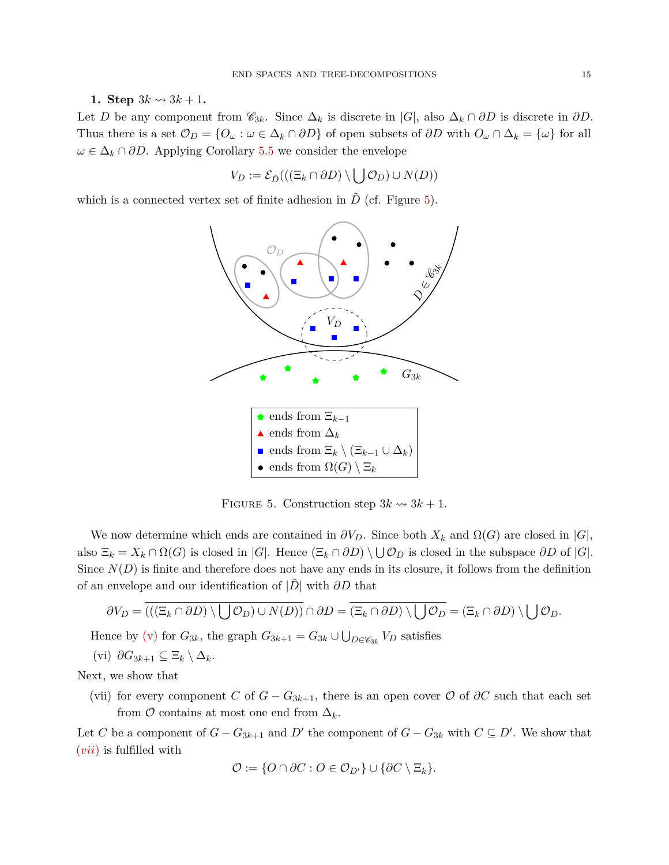**1.** Step  $3k \rightarrow 3k + 1$ .

Let *D* be any component from  $\mathscr{C}_{3k}$ . Since  $\Delta_k$  is discrete in  $|G|$ , also  $\Delta_k \cap \partial D$  is discrete in  $\partial D$ . Thus there is a set  $\mathcal{O}_D = \{O_\omega : \omega \in \Delta_k \cap \partial D\}$  of open subsets of  $\partial D$  with  $O_\omega \cap \Delta_k = \{\omega\}$  for all  $\omega \in \Delta_k \cap \partial D$ . Applying Corollary [5.5](#page-12-1) we consider the envelope

$$
V_D := \mathcal{E}_{\tilde{D}}(((\Xi_k \cap \partial D) \setminus \bigcup \mathcal{O}_D) \cup N(D))
$$

which is a connected vertex set of finite adhesion in  $\tilde{D}$  (cf. Figure [5\)](#page-14-0).



<span id="page-14-0"></span>FIGURE 5. Construction step  $3k \rightarrow 3k + 1$ .

We now determine which ends are contained in  $\partial V_D$ . Since both  $X_k$  and  $\Omega(G)$  are closed in  $|G|$ , also  $\Xi_k = X_k \cap \Omega(G)$  is closed in  $|G|$ . Hence  $(\Xi_k \cap \partial D) \setminus \bigcup \mathcal{O}_D$  is closed in the subspace  $\partial D$  of  $|G|$ . Since  $N(D)$  is finite and therefore does not have any ends in its closure, it follows from the definition of an envelope and our identification of  $|\overline{D}|$  with  $\partial D$  that

$$
\partial V_D = \overline{((\Xi_k \cap \partial D) \setminus \bigcup \mathcal{O}_D) \cup N(D))} \cap \partial D = \overline{(\Xi_k \cap \partial D) \setminus \bigcup \mathcal{O}_D} = (\Xi_k \cap \partial D) \setminus \bigcup \mathcal{O}_D.
$$

Hence by [\(v\)](#page-13-2) for  $G_{3k}$ , the graph  $G_{3k+1} = G_{3k} \cup \bigcup_{D \in \mathscr{C}_{3k}} V_D$  satisfies

<span id="page-14-2"></span>
$$
(vi) \ \partial G_{3k+1} \subseteq \Xi_k \setminus \Delta_k.
$$

Next, we show that

<span id="page-14-1"></span>(vii) for every component *C* of  $G - G_{3k+1}$ , there is an open cover  $\mathcal O$  of  $\partial C$  such that each set from  $\mathcal O$  contains at most one end from  $\Delta_k$ .

Let *C* be a component of  $G - G_{3k+1}$  and  $D'$  the component of  $G - G_{3k}$  with  $C \subseteq D'$ . We show that (*[vii](#page-14-1)*) is fulfilled with

$$
\mathcal{O} := \{ O \cap \partial C : O \in \mathcal{O}_{D'} \} \cup \{ \partial C \setminus \Xi_k \}.
$$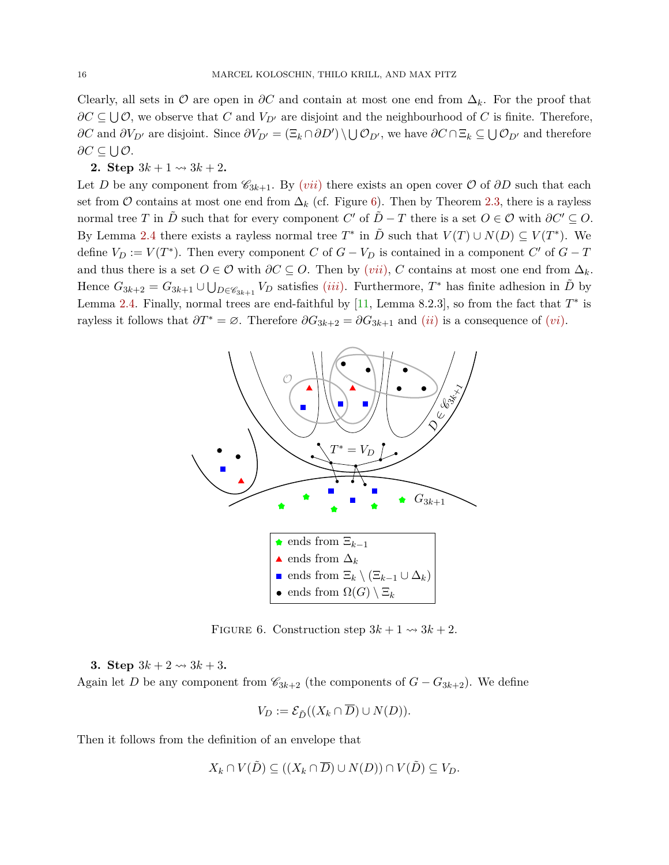Clearly, all sets in  $\mathcal O$  are open in  $\partial C$  and contain at most one end from  $\Delta_k$ . For the proof that  $∂C ⊆ ∪C$ , we observe that *C* and *V*<sub>*D*<sup>*i*</sup> are disjoint and the neighbourhood of *C* is finite. Therefore,</sub> *∂C* and  $\partial V_{D'}$  are disjoint. Since  $\partial V_{D'} = (\Xi_k \cap \partial D') \setminus \bigcup \mathcal{O}_{D'}$ , we have  $\partial C \cap \Xi_k \subseteq \bigcup \mathcal{O}_{D'}$  and therefore *∂C* ⊆ ∪ *O*.

# **2. Step**  $3k + 1 \rightsquigarrow 3k + 2$ .

Let *D* be any component from  $\mathcal{C}_{3k+1}$ . By (*[vii](#page-14-1)*) there exists an open cover  $\mathcal{O}$  of  $\partial D$  such that each set from  $\mathcal O$  contains at most one end from  $\Delta_k$  (cf. Figure [6\)](#page-15-0). Then by Theorem [2.3,](#page-6-1) there is a rayless normal tree *T* in  $\tilde{D}$  such that for every component *C*' of  $\tilde{D} - T$  there is a set  $O \in \mathcal{O}$  with  $\partial C' \subseteq O$ . By Lemma [2.4](#page-6-2) there exists a rayless normal tree  $T^*$  in  $\tilde{D}$  such that  $V(T) \cup N(D) \subseteq V(T^*)$ . We define  $V_D := V(T^*)$ . Then every component *C* of  $G - V_D$  is contained in a component *C*<sup>'</sup> of  $G - T$ and thus there is a set  $O \in \mathcal{O}$  with  $\partial C \subseteq O$ . Then by  $(vii)$  $(vii)$  $(vii)$ , *C* contains at most one end from  $\Delta_k$ . Hence  $G_{3k+2} = G_{3k+1} \cup \bigcup_{D \in \mathscr{C}_{3k+1}} V_D$  satisfies *([iii](#page-13-3))*. Furthermore,  $T^*$  has finite adhesion in  $\tilde{D}$  by Lemma [2.4.](#page-6-2) Finally, normal trees are end-faithful by  $[11]$ , Lemma 8.2.3, so from the fact that  $T^*$  is rayless it follows that  $\partial T^* = \emptyset$ . Therefore  $\partial G_{3k+2} = \partial G_{3k+1}$  and  $(ii)$  $(ii)$  $(ii)$  is a consequence of  $(vi)$  $(vi)$  $(vi)$ .



<span id="page-15-0"></span>FIGURE 6. Construction step  $3k + 1 \rightsquigarrow 3k + 2$ .

**3.** Step  $3k + 2 \rightsquigarrow 3k + 3$ .

Again let *D* be any component from  $\mathcal{C}_{3k+2}$  (the components of  $G - G_{3k+2}$ ). We define

$$
V_D := \mathcal{E}_{\tilde{D}}((X_k \cap \overline{D}) \cup N(D)).
$$

Then it follows from the definition of an envelope that

$$
X_k \cap V(\tilde{D}) \subseteq ((X_k \cap \overline{D}) \cup N(D)) \cap V(\tilde{D}) \subseteq V_D.
$$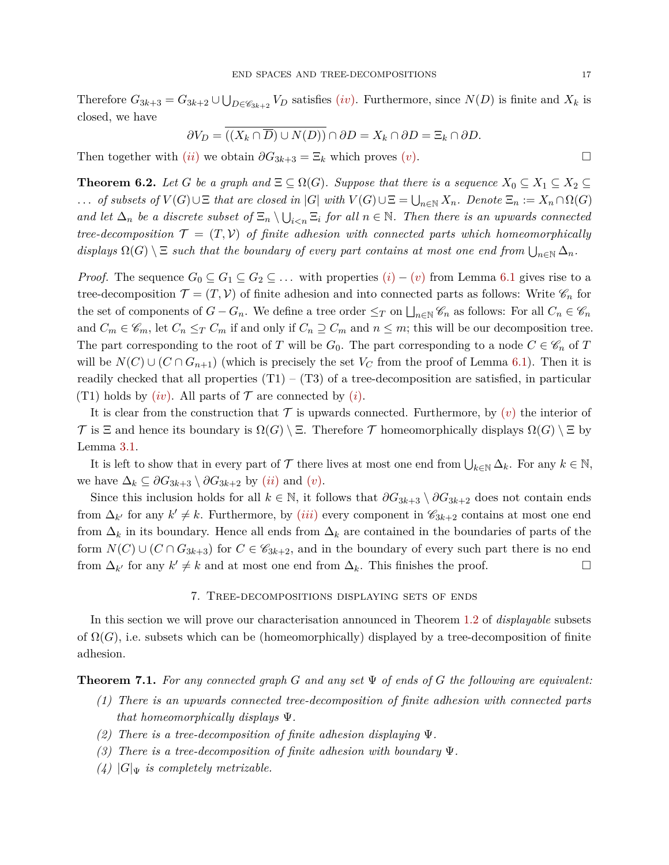Therefore  $G_{3k+3} = G_{3k+2} \cup \bigcup_{D \in \mathscr{C}_{3k+2}} V_D$  satisfies *([iv](#page-13-5))*. Furthermore, since  $N(D)$  is finite and  $X_k$  is closed, we have

$$
\partial V_D = \overline{((X_k \cap \overline{D}) \cup N(D))} \cap \partial D = X_k \cap \partial D = \Xi_k \cap \partial D.
$$

Then together with  $(ii)$  $(ii)$  $(ii)$  we obtain  $\partial G_{3k+3} = \Xi_k$  which pro[v](#page-13-2)es  $(v)$ .

<span id="page-16-1"></span>**Theorem 6.2.** Let *G* be a graph and  $\Xi \subseteq \Omega(G)$ . Suppose that there is a sequence  $X_0 \subseteq X_1 \subseteq X_2 \subseteq$ *... of subsets of*  $V(G) \cup E$  *that are closed in* |*G*| *with*  $V(G) \cup E = \bigcup_{n \in \mathbb{N}} X_n$ *. Denote*  $E_n := X_n \cap \Omega(G)$ *and let*  $\Delta_n$  *be a discrete subset of*  $\Xi_n \setminus \bigcup_{i \leq n} \Xi_i$  *for all*  $n \in \mathbb{N}$ *. Then there is an upwards connected tree-decomposition*  $\mathcal{T} = (T, V)$  *of finite adhesion with connected parts which homeomorphically* displays  $\Omega(G) \setminus \Xi$  such that the boundary of every part contains at most one end from  $\bigcup_{n\in\mathbb{N}} \Delta_n$ .

*Proof.* The sequence  $G_0 \subseteq G_1 \subseteq G_2 \subseteq \ldots$  with properties  $(i) - (v)$  $(i) - (v)$  $(i) - (v)$  $(i) - (v)$  from Lemma [6.1](#page-13-6) gives rise to a tree-decomposition  $\mathcal{T} = (T, V)$  of finite adhesion and into connected parts as follows: Write  $\mathscr{C}_n$  for the set of components of  $G - G_n$ . We define a tree order  $\leq_T$  on  $\bigsqcup_{n\in\mathbb{N}}\mathscr{C}_n$  as follows: For all  $C_n \in \mathscr{C}_n$ and  $C_m \in \mathscr{C}_m$ , let  $C_n \leq_T C_m$  if and only if  $C_n \supseteq C_m$  and  $n \leq m$ ; this will be our decomposition tree. The part corresponding to the root of *T* will be  $G_0$ . The part corresponding to a node  $C \in \mathcal{C}_n$  of *T* will be  $N(C) \cup (C \cap G_{n+1})$  (which is precisely the set  $V_C$  from the proof of Lemma [6.1\)](#page-13-6). Then it is readily checked that all properties  $(T1) - (T3)$  of a tree-decomposition are satisfied, in particular (T1) holds by  $(iv)$  $(iv)$  $(iv)$ . All parts of  $\mathcal T$  are connected by  $(i)$ .

It is clear from the construction that  $\mathcal T$  is upwards connected. Furthermore, by  $(v)$  $(v)$  $(v)$  the interior of T is  $\Xi$  and hence its boundary is  $\Omega(G) \setminus \Xi$ . Therefore T homeomorphically displays  $\Omega(G) \setminus \Xi$  by Lemma [3.1.](#page-8-0)

It is left to show that in every part of  $\mathcal T$  there lives at most one end from  $\bigcup_{k\in\mathbb N}\Delta_k$ . For any  $k\in\mathbb N$ , we have  $\Delta_k \subseteq \partial G_{3k+3} \setminus \partial G_{3k+2}$  by  $(ii)$  $(ii)$  $(ii)$  and  $(v)$ .

Since this inclusion holds for all  $k \in \mathbb{N}$ , it follows that  $\partial G_{3k+3} \setminus \partial G_{3k+2}$  does not contain ends from  $\Delta_{k'}$  for any  $k' \neq k$ . Furthermore, by *([iii](#page-13-3))* every component in  $\mathscr{C}_{3k+2}$  contains at most one end from  $\Delta_k$  in its boundary. Hence all ends from  $\Delta_k$  are contained in the boundaries of parts of the form  $N(C) \cup (C \cap G_{3k+3})$  for  $C \in \mathscr{C}_{3k+2}$ , and in the boundary of every such part there is no end from  $\Delta_{k'}$  for any  $k' \neq k$  and at most one end from  $\Delta_k$ . This finishes the proof. □

### 7. Tree-decompositions displaying sets of ends

In this section we will prove our characterisation announced in Theorem [1.2](#page-4-0) of *displayable* subsets of  $\Omega(G)$ , i.e. subsets which can be (homeomorphically) displayed by a tree-decomposition of finite adhesion.

<span id="page-16-0"></span>**Theorem 7.1.** *For any connected graph G and any set* Ψ *of ends of G the following are equivalent:*

- *(1) There is an upwards connected tree-decomposition of finite adhesion with connected parts that homeomorphically displays* Ψ*.*
- *(2) There is a tree-decomposition of finite adhesion displaying* Ψ*.*
- *(3) There is a tree-decomposition of finite adhesion with boundary* Ψ*.*
- $(4)$   $|G|_{\Psi}$  *is completely metrizable.*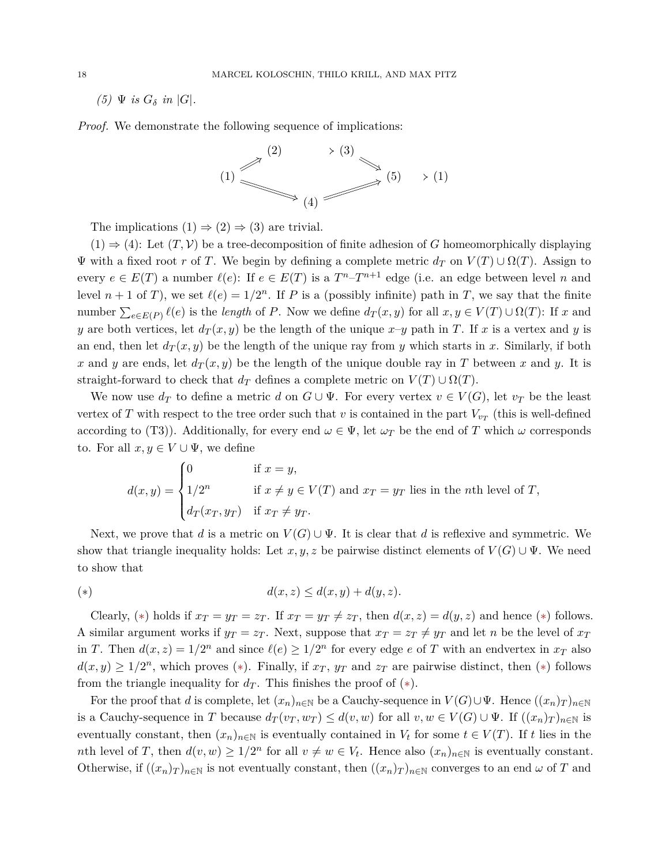$(5)$   $\Psi$  *is*  $G_{\delta}$  *in*  $|G|$ *.* 

*Proof.* We demonstrate the following sequence of implications:



The implications  $(1) \Rightarrow (2) \Rightarrow (3)$  are trivial.

 $(1) \Rightarrow (4)$ : Let  $(T, V)$  be a tree-decomposition of finite adhesion of *G* homeomorphically displaying  $\Psi$  with a fixed root *r* of *T*. We begin by defining a complete metric  $d_T$  on  $V(T) \cup \Omega(T)$ . Assign to every  $e \in E(T)$  a number  $\ell(e)$ : If  $e \in E(T)$  is a  $T^{n}-T^{n+1}$  edge (i.e. an edge between level *n* and level  $n + 1$  of *T*), we set  $\ell(e) = 1/2^n$ . If *P* is a (possibly infinite) path in *T*, we say that the finite number  $\sum_{e \in E(P)} \ell(e)$  is the *length* of *P*. Now we define  $d_T(x, y)$  for all  $x, y \in V(T) \cup \Omega(T)$ : If *x* and *y* are both vertices, let  $d_T(x, y)$  be the length of the unique  $x-y$  path in *T*. If *x* is a vertex and *y* is an end, then let  $d_T(x, y)$  be the length of the unique ray from *y* which starts in *x*. Similarly, if both *x* and *y* are ends, let  $d_T(x, y)$  be the length of the unique double ray in *T* between *x* and *y*. It is straight-forward to check that  $d_T$  defines a complete metric on  $V(T) \cup \Omega(T)$ .

We now use  $d_T$  to define a metric  $d$  on  $G \cup \Psi$ . For every vertex  $v \in V(G)$ , let  $v_T$  be the least vertex of *T* with respect to the tree order such that *v* is contained in the part  $V_{v_T}$  (this is well-defined according to (T3)). Additionally, for every end  $\omega \in \Psi$ , let  $\omega_T$  be the end of *T* which  $\omega$  corresponds to. For all  $x, y \in V \cup \Psi$ , we define

$$
d(x,y) = \begin{cases} 0 & \text{if } x = y, \\ 1/2^n & \text{if } x \neq y \in V(T) \text{ and } x_T = y_T \text{ lies in the } n\text{th level of } T, \\ d_T(x_T, y_T) & \text{if } x_T \neq y_T. \end{cases}
$$

Next, we prove that *d* is a metric on  $V(G) \cup \Psi$ . It is clear that *d* is reflexive and symmetric. We show that triangle inequality holds: Let  $x, y, z$  be pairwise distinct elements of  $V(G) \cup \Psi$ . We need to show that

<span id="page-17-0"></span>
$$
d(x, z) \le d(x, y) + d(y, z).
$$

Clearly, (\*) holds if  $x_T = y_T = z_T$ . If  $x_T = y_T \neq z_T$ , then  $d(x, z) = d(y, z)$  and hence (\*) follows. A similar argument works if  $y_T = z_T$ . Next, suppose that  $x_T = z_T \neq y_T$  and let *n* be the level of  $x_T$ in *T*. Then  $d(x, z) = 1/2^n$  and since  $\ell(e) \geq 1/2^n$  for every edge *e* of *T* with an endvertex in  $x_T$  also  $d(x, y) \geq 1/2^n$ , which proves (\*). Finally, if  $x_T$ ,  $y_T$  and  $z_T$  are pairwise distinct, then (\*) follows from the triangle inequality for  $d_T$ . This finishes the proof of  $(*)$ .

For the proof that *d* is complete, let  $(x_n)_{n\in\mathbb{N}}$  be a Cauchy-sequence in  $V(G) \cup \Psi$ . Hence  $((x_n)_T)_{n\in\mathbb{N}}$ is a Cauchy-sequence in *T* because  $d_T(v_T, w_T) \leq d(v, w)$  for all  $v, w \in V(G) \cup \Psi$ . If  $((x_n)_T)_{n \in \mathbb{N}}$  is eventually constant, then  $(x_n)_{n\in\mathbb{N}}$  is eventually contained in  $V_t$  for some  $t \in V(T)$ . If *t* lies in the *n*th level of *T*, then  $d(v, w) \geq 1/2^n$  for all  $v \neq w \in V_t$ . Hence also  $(x_n)_{n \in \mathbb{N}}$  is eventually constant. Otherwise, if  $((x_n)_T)_{n\in\mathbb{N}}$  is not eventually constant, then  $((x_n)_T)_{n\in\mathbb{N}}$  converges to an end  $\omega$  of  $T$  and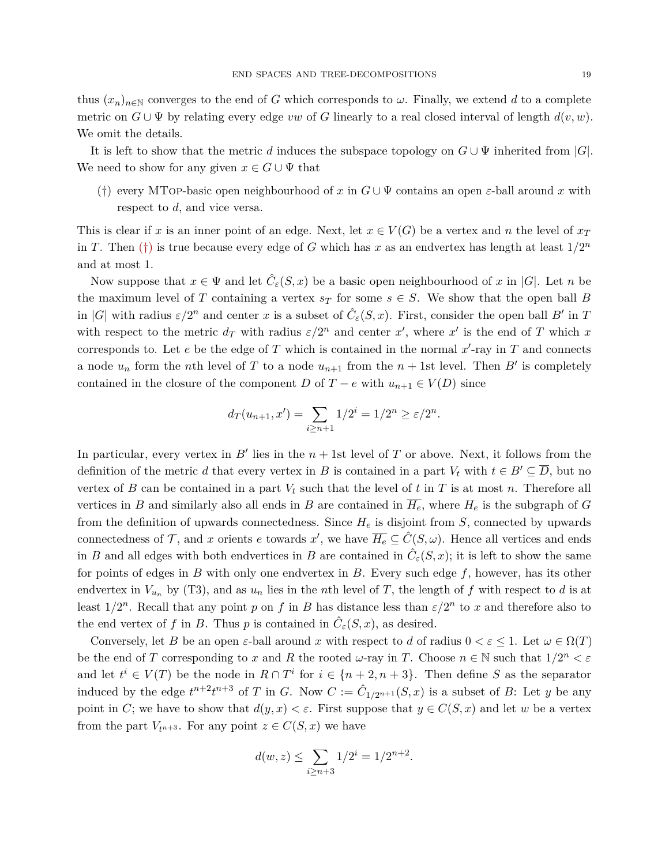thus  $(x_n)_{n\in\mathbb{N}}$  converges to the end of *G* which corresponds to  $\omega$ . Finally, we extend *d* to a complete metric on  $G \cup \Psi$  by relating every edge *vw* of *G* linearly to a real closed interval of length  $d(v, w)$ . We omit the details.

It is left to show that the metric *d* induces the subspace topology on  $G \cup \Psi$  inherited from |*G*|. We need to show for any given  $x \in G \cup \Psi$  that

<span id="page-18-0"></span>(†) every MTop-basic open neighbourhood of *x* in *G* ∪ Ψ contains an open *ε*-ball around *x* with respect to *d*, and vice versa.

This is clear if *x* is an inner point of an edge. Next, let  $x \in V(G)$  be a vertex and *n* the level of  $x_T$ in *T*. Then ([†](#page-18-0)) is true because every edge of *G* which has *x* as an endvertex has length at least  $1/2^n$ and at most 1.

Now suppose that  $x \in \Psi$  and let  $\hat{C}_{\varepsilon}(S, x)$  be a basic open neighbourhood of x in |G|. Let n be the maximum level of *T* containing a vertex  $s_T$  for some  $s \in S$ . We show that the open ball *B* in |*G*| with radius  $\varepsilon/2^n$  and center *x* is a subset of  $\hat{C}_\varepsilon(S, x)$ . First, consider the open ball *B*<sup>*i*</sup> in *T* with respect to the metric  $d_T$  with radius  $\varepsilon/2^n$  and center x', where x' is the end of T which x corresponds to. Let  $e$  be the edge of  $T$  which is contained in the normal  $x'$ -ray in  $T$  and connects a node  $u_n$  form the *n*th level of *T* to a node  $u_{n+1}$  from the  $n + 1$ st level. Then *B'* is completely contained in the closure of the component *D* of *T* − *e* with  $u_{n+1} \in V(D)$  since

$$
d_T(u_{n+1}, x') = \sum_{i \ge n+1} 1/2^i = 1/2^n \ge \varepsilon/2^n.
$$

In particular, every vertex in  $B'$  lies in the  $n + 1$ st level of  $T$  or above. Next, it follows from the definition of the metric *d* that every vertex in *B* is contained in a part  $V_t$  with  $t \in B' \subseteq \overline{D}$ , but no vertex of *B* can be contained in a part  $V_t$  such that the level of *t* in *T* is at most *n*. Therefore all vertices in *B* and similarly also all ends in *B* are contained in  $\overline{H_e}$ , where  $H_e$  is the subgraph of *G* from the definition of upwards connectedness. Since *H<sup>e</sup>* is disjoint from *S*, connected by upwards connectedness of T, and x orients e towards x', we have  $\overline{H_e} \subseteq \hat{C}(S,\omega)$ . Hence all vertices and ends in *B* and all edges with both endvertices in *B* are contained in  $\hat{C}_{\varepsilon}(S, x)$ ; it is left to show the same for points of edges in *B* with only one endvertex in *B*. Every such edge *f*, however, has its other endvertex in  $V_{u_n}$  by (T3), and as  $u_n$  lies in the *n*th level of T, the length of f with respect to d is at least  $1/2^n$ . Recall that any point *p* on *f* in *B* has distance less than  $\varepsilon/2^n$  to *x* and therefore also to the end vertex of *f* in *B*. Thus *p* is contained in  $\hat{C}_{\varepsilon}(S, x)$ , as desired.

Conversely, let *B* be an open *ε*-ball around *x* with respect to *d* of radius  $0 < \varepsilon \leq 1$ . Let  $\omega \in \Omega(T)$ be the end of *T* corresponding to *x* and *R* the rooted *ω*-ray in *T*. Choose  $n \in \mathbb{N}$  such that  $1/2^n < \varepsilon$ and let  $t^i \in V(T)$  be the node in  $R \cap T^i$  for  $i \in \{n+2, n+3\}$ . Then define *S* as the separator induced by the edge  $t^{n+2}t^{n+3}$  of *T* in *G*. Now  $C := \hat{C}_{1/2^{n+1}}(S, x)$  is a subset of *B*: Let *y* be any point in *C*; we have to show that  $d(y, x) < \varepsilon$ . First suppose that  $y \in C(S, x)$  and let *w* be a vertex from the part  $V_{t^{n+3}}$ . For any point  $z \in C(S, x)$  we have

$$
d(w, z) \le \sum_{i \ge n+3} 1/2^i = 1/2^{n+2}.
$$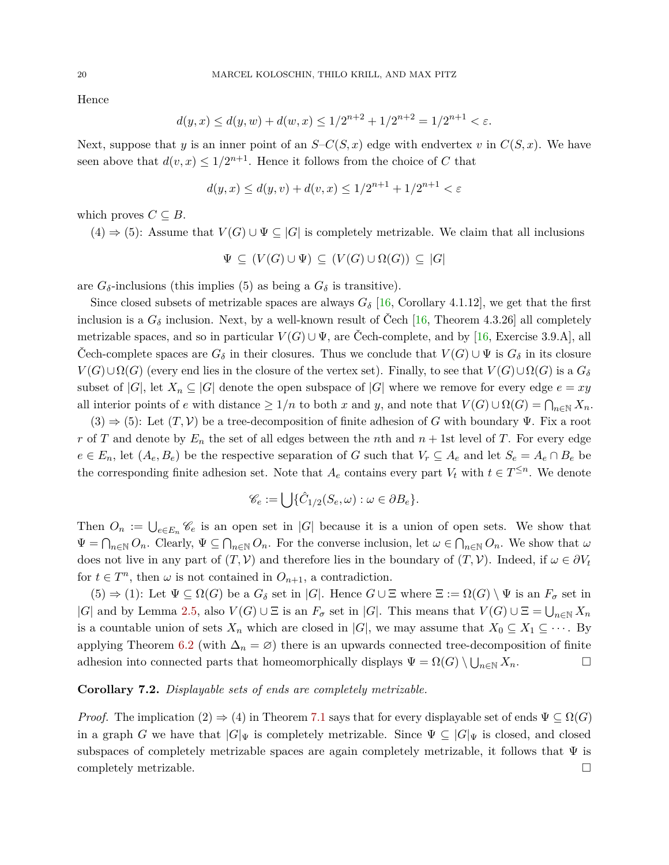Hence

$$
d(y, x) \le d(y, w) + d(w, x) \le 1/2^{n+2} + 1/2^{n+2} = 1/2^{n+1} < \varepsilon.
$$

Next, suppose that *y* is an inner point of an  $S-C(S, x)$  edge with endvertex *v* in  $C(S, x)$ . We have seen above that  $d(v, x) \leq 1/2^{n+1}$ . Hence it follows from the choice of *C* that

$$
d(y, x) \le d(y, v) + d(v, x) \le 1/2^{n+1} + 1/2^{n+1} < \varepsilon
$$

which proves  $C \subseteq B$ .

 $(4) \Rightarrow (5)$ : Assume that  $V(G) \cup \Psi \subseteq |G|$  is completely metrizable. We claim that all inclusions

$$
\Psi \subseteq (V(G) \cup \Psi) \subseteq (V(G) \cup \Omega(G)) \subseteq |G|
$$

are  $G_{\delta}$ -inclusions (this implies (5) as being a  $G_{\delta}$  is transitive).

Since closed subsets of metrizable spaces are always  $G_{\delta}$  [\[16,](#page-27-18) Corollary 4.1.12], we get that the first inclusion is a  $G_{\delta}$  inclusion. Next, by a well-known result of Čech [\[16,](#page-27-18) Theorem 4.3.26] all completely metrizable spaces, and so in particular  $V(G) \cup \Psi$ , are Čech-complete, and by [\[16,](#page-27-18) Exercise 3.9.A], all Cech-complete spaces are  $G_{\delta}$  in their closures. Thus we conclude that  $V(G) \cup \Psi$  is  $G_{\delta}$  in its closure  $V(G) \cup \Omega(G)$  (every end lies in the closure of the vertex set). Finally, to see that  $V(G) \cup \Omega(G)$  is a  $G_{\delta}$ subset of  $|G|$ , let  $X_n \subseteq |G|$  denote the open subspace of  $|G|$  where we remove for every edge  $e = xy$ all interior points of *e* with distance  $\geq 1/n$  to both *x* and *y*, and note that  $V(G) \cup \Omega(G) = \bigcap_{n \in \mathbb{N}} X_n$ .

 $(3) \Rightarrow (5)$ : Let  $(T, V)$  be a tree-decomposition of finite adhesion of *G* with boundary  $\Psi$ . Fix a root *r* of *T* and denote by  $E_n$  the set of all edges between the *n*th and  $n + 1$ st level of *T*. For every edge  $e \in E_n$ , let  $(A_e, B_e)$  be the respective separation of *G* such that  $V_r \subseteq A_e$  and let  $S_e = A_e \cap B_e$  be the corresponding finite adhesion set. Note that  $A_e$  contains every part  $V_t$  with  $t \in T^{\leq n}$ . We denote

$$
\mathscr{C}_e := \bigcup \{ \hat{C}_{1/2}(S_e, \omega) : \omega \in \partial B_e \}.
$$

Then  $O_n := \bigcup_{e \in E_n} \mathscr{C}_e$  is an open set in |*G*| because it is a union of open sets. We show that  $\Psi = \bigcap_{n \in \mathbb{N}} O_n$ . Clearly,  $\Psi \subseteq \bigcap_{n \in \mathbb{N}} O_n$ . For the converse inclusion, let  $\omega \in \bigcap_{n \in \mathbb{N}} O_n$ . We show that  $\omega$ does not live in any part of  $(T, V)$  and therefore lies in the boundary of  $(T, V)$ . Indeed, if  $\omega \in \partial V_t$ for  $t \in T^n$ , then  $\omega$  is not contained in  $O_{n+1}$ , a contradiction.

 $(5) \Rightarrow (1)$ : Let  $\Psi \subseteq \Omega(G)$  be a  $G_{\delta}$  set in |*G*|. Hence  $G \cup \Xi$  where  $\Xi := \Omega(G) \setminus \Psi$  is an  $F_{\sigma}$  set in  $|G|$  and by Lemma [2.5,](#page-7-1) also  $V(G) \cup E$  is an  $F_{\sigma}$  set in  $|G|$ . This means that  $V(G) \cup E = \bigcup_{n \in \mathbb{N}} X_n$ is a countable union of sets  $X_n$  which are closed in  $|G|$ , we may assume that  $X_0 \subseteq X_1 \subseteq \cdots$ . By applying Theorem [6.2](#page-16-1) (with  $\Delta_n = \varnothing$ ) there is an upwards connected tree-decomposition of finite adhesion into connected parts that homeomorphically displays  $\Psi = \Omega(G) \setminus \bigcup_{n \in \mathbb{N}} X_n$ .

# <span id="page-19-0"></span>**Corollary 7.2.** *Displayable sets of ends are completely metrizable.*

*Proof.* The implication  $(2) \Rightarrow (4)$  in Theorem [7.1](#page-16-0) says that for every displayable set of ends  $\Psi \subseteq \Omega(G)$ in a graph *G* we have that  $|G|_{\Psi}$  is completely metrizable. Since  $\Psi \subseteq |G|_{\Psi}$  is closed, and closed subspaces of completely metrizable spaces are again completely metrizable, it follows that  $\Psi$  is completely metrizable.  $\square$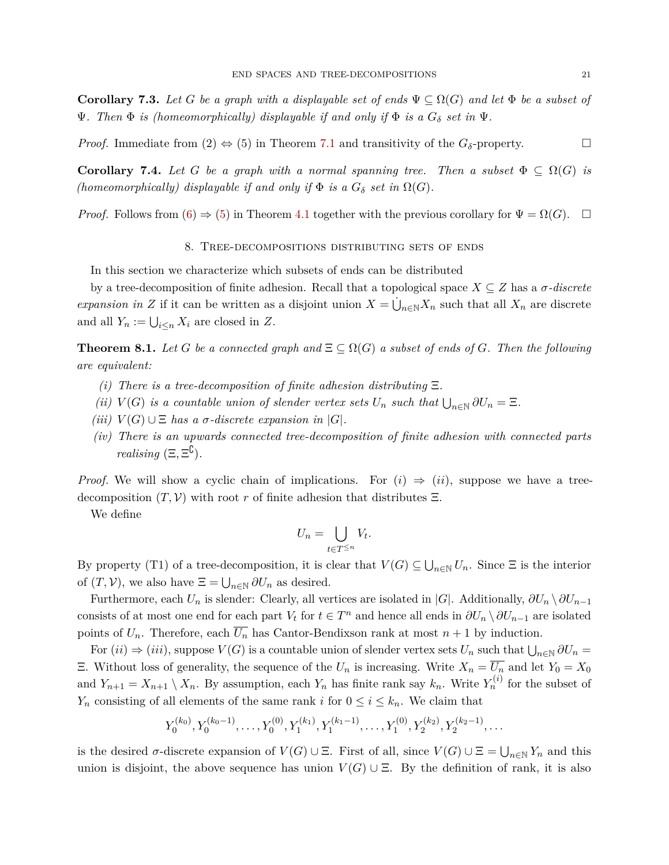**Corollary 7.3.** Let *G* be a graph with a displayable set of ends  $\Psi \subseteq \Omega(G)$  and let  $\Phi$  be a subset of  $\Psi$ *. Then*  $\Phi$  *is (homeomorphically) displayable if and only if*  $\Phi$  *is a*  $G_{\delta}$  *set in*  $\Psi$ *.* 

*Proof.* Immediate from (2)  $\Leftrightarrow$  (5) in Theorem [7.1](#page-16-0) and transitivity of the  $G_{\delta}$ -property.

**Corollary 7.4.** Let *G* be a graph with a normal spanning tree. Then a subset  $\Phi \subseteq \Omega(G)$  is *(homeomorphically) displayable if and only if*  $\Phi$  *is a*  $G_{\delta}$  *set in*  $\Omega(G)$ *.* 

<span id="page-20-0"></span>*Proof.* Follows from  $(6) \Rightarrow (5)$  $(6) \Rightarrow (5)$  $(6) \Rightarrow (5)$  in Theorem [4.1](#page-9-7) together with the previous corollary for  $\Psi = \Omega(G)$ .  $\Box$ 

## 8. Tree-decompositions distributing sets of ends

In this section we characterize which subsets of ends can be distributed

by a tree-decomposition of finite adhesion. Recall that a topological space  $X \subseteq Z$  has a  $\sigma$ -discrete *expansion in Z* if it can be written as a disjoint union  $X = \dot{\bigcup}_{n \in \mathbb{N}} X_n$  such that all  $X_n$  are discrete and all  $Y_n := \bigcup_{i \leq n} X_i$  are closed in  $Z$ .

<span id="page-20-1"></span>**Theorem 8.1.** Let *G* be a connected graph and  $\Xi \subseteq \Omega(G)$  a subset of ends of *G*. Then the following *are equivalent:*

- *(i) There is a tree-decomposition of finite adhesion distributing* Ξ*.*
- *(ii)*  $V(G)$  *is a countable union of slender vertex sets*  $U_n$  *such that*  $\bigcup_{n \in \mathbb{N}} \partial U_n = \Xi$ .
- *(iii)*  $V(G) \cup E$  *has a σ-discrete expansion in*  $|G|$ *.*
- *(iv) There is an upwards connected tree-decomposition of finite adhesion with connected parts realising*  $(\Xi, \Xi^{\complement})$ .

*Proof.* We will show a cyclic chain of implications. For  $(i) \Rightarrow (ii)$ , suppose we have a treedecomposition  $(T, V)$  with root *r* of finite adhesion that distributes  $\Xi$ .

We define

$$
U_n = \bigcup_{t \in T^{\leq n}} V_t.
$$

By property (T1) of a tree-decomposition, it is clear that  $V(G) \subseteq \bigcup_{n\in\mathbb{N}} U_n$ . Since  $\Xi$  is the interior of  $(T, V)$ , we also have  $\Xi = \bigcup_{n \in \mathbb{N}} \partial U_n$  as desired.

Furthermore, each  $U_n$  is slender: Clearly, all vertices are isolated in  $|G|$ . Additionally,  $\partial U_n \setminus \partial U_{n-1}$ consists of at most one end for each part  $V_t$  for  $t \in T^n$  and hence all ends in  $\partial U_n \setminus \partial U_{n-1}$  are isolated points of  $U_n$ . Therefore, each  $\overline{U_n}$  has Cantor-Bendixson rank at most  $n+1$  by induction.

 $\text{For } (ii) \Rightarrow (iii)$ , suppose  $V(G)$  is a countable union of slender vertex sets  $U_n$  such that  $\bigcup_{n\in\mathbb{N}} \partial U_n =$ Ξ. Without loss of generality, the sequence of the *U<sup>n</sup>* is increasing. Write *X<sup>n</sup>* = *U<sup>n</sup>* and let *Y*<sup>0</sup> = *X*<sup>0</sup> and  $Y_{n+1} = X_{n+1} \setminus X_n$ . By assumption, each  $Y_n$  has finite rank say  $k_n$ . Write  $Y_n^{(i)}$  for the subset of *Y<sub>n</sub>* consisting of all elements of the same rank *i* for  $0 \le i \le k_n$ . We claim that

$$
Y_0^{(k_0)}, Y_0^{(k_0-1)}, \ldots, Y_0^{(0)}, Y_1^{(k_1)}, Y_1^{(k_1-1)}, \ldots, Y_1^{(0)}, Y_2^{(k_2)}, Y_2^{(k_2-1)}, \ldots
$$

is the desired  $\sigma$ -discrete expansion of  $V(G) \cup \Xi$ . First of all, since  $V(G) \cup \Xi = \bigcup_{n \in \mathbb{N}} Y_n$  and this union is disjoint, the above sequence has union  $V(G) \cup \Xi$ . By the definition of rank, it is also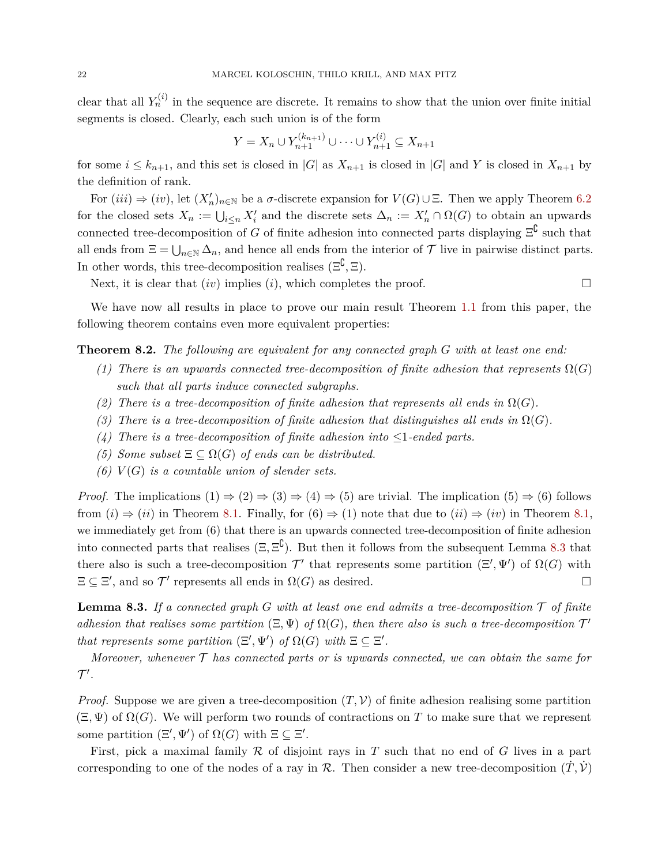clear that all  $Y_n^{(i)}$  in the sequence are discrete. It remains to show that the union over finite initial segments is closed. Clearly, each such union is of the form

$$
Y = X_n \cup Y_{n+1}^{(k_{n+1})} \cup \dots \cup Y_{n+1}^{(i)} \subseteq X_{n+1}
$$

for some  $i \leq k_{n+1}$ , and this set is closed in  $|G|$  as  $X_{n+1}$  is closed in  $|G|$  and Y is closed in  $X_{n+1}$  by the definition of rank.

For  $(iii) \Rightarrow (iv)$ , let  $(X'_n)_{n\in\mathbb{N}}$  be a *σ*-discrete expansion for  $V(G) \cup \Xi$ . Then we apply Theorem [6.2](#page-16-1) for the closed sets  $X_n := \bigcup_{i \leq n} X'_i$  and the discrete sets  $\Delta_n := X'_n \cap \Omega(G)$  to obtain an upwards connected tree-decomposition of *G* of finite adhesion into connected parts displaying  $\Xi^{\complement}$  such that all ends from  $\Xi = \bigcup_{n \in \mathbb{N}} \Delta_n$ , and hence all ends from the interior of  $\mathcal T$  live in pairwise distinct parts. In other words, this tree-decomposition realises  $(\Xi^{\complement}, \Xi)$ .

Next, it is clear that  $(iv)$  implies  $(i)$ , which completes the proof.

We have now all results in place to prove our main result Theorem [1.1](#page-2-3) from this paper, the following theorem contains even more equivalent properties:

<span id="page-21-1"></span>**Theorem 8.2.** *The following are equivalent for any connected graph G with at least one end:*

- *(1) There is an upwards connected tree-decomposition of finite adhesion that represents*  $\Omega(G)$ *such that all parts induce connected subgraphs.*
- (2) There is a tree-decomposition of finite adhesion that represents all ends in  $\Omega(G)$ .
- *(3) There is a tree-decomposition of finite adhesion that distinguishes all ends in*  $\Omega(G)$ *.*
- (4) There is a tree-decomposition of finite adhesion into  $\leq$ 1-ended parts.
- *(5) Some subset*  $\Xi \subseteq \Omega(G)$  *of ends can be distributed.*
- *(6)*  $V(G)$  *is a countable union of slender sets.*

*Proof.* The implications  $(1) \Rightarrow (2) \Rightarrow (3) \Rightarrow (4) \Rightarrow (5)$  are trivial. The implication  $(5) \Rightarrow (6)$  follows from  $(i) \Rightarrow (ii)$  in Theorem [8.1.](#page-20-1) Finally, for  $(6) \Rightarrow (1)$  note that due to  $(ii) \Rightarrow (iv)$  in Theorem [8.1,](#page-20-1) we immediately get from (6) that there is an upwards connected tree-decomposition of finite adhesion into connected parts that realises  $(\Xi, \Xi^{\mathbb{C}})$ . But then it follows from the subsequent Lemma [8.3](#page-21-0) that there also is such a tree-decomposition  $\mathcal{T}'$  that represents some partition  $(\Xi', \Psi')$  of  $\Omega(G)$  with  $\Xi \subseteq \Xi'$ , and so  $\mathcal{T}'$  represents all ends in  $\Omega(G)$  as desired.

<span id="page-21-0"></span>**Lemma 8.3.** If a connected graph  $G$  with at least one end admits a tree-decomposition  $T$  of finite *adhesion that realises some partition*  $(\Xi, \Psi)$  *of*  $\Omega(G)$ *, then there also is such a tree-decomposition*  $\mathcal{T}'$ *that represents some partition*  $(\Xi', \Psi')$  *of*  $\Omega(G)$  *with*  $\Xi \subseteq \Xi'$ *.* 

*Moreover, whenever* T *has connected parts or is upwards connected, we can obtain the same for*  $\mathcal{T}'$ .

*Proof.* Suppose we are given a tree-decomposition  $(T, V)$  of finite adhesion realising some partition  $(\Xi, \Psi)$  of  $\Omega(G)$ . We will perform two rounds of contractions on T to make sure that we represent some partition  $(\Xi', \Psi')$  of  $\Omega(G)$  with  $\Xi \subseteq \Xi'$ .

First, pick a maximal family R of disjoint rays in *T* such that no end of *G* lives in a part corresponding to one of the nodes of a ray in R. Then consider a new tree-decomposition  $(\dot{T}, \dot{V})$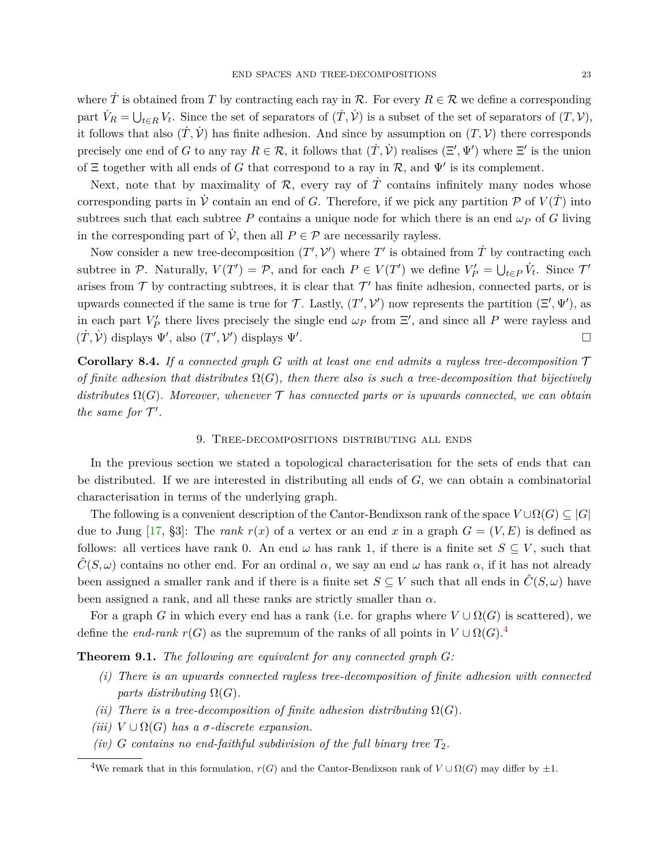where  $\dot{T}$  is obtained from  $T$  by contracting each ray in  $\mathcal{R}$ . For every  $R \in \mathcal{R}$  we define a corresponding part  $\dot{V}_R = \bigcup_{t \in R} V_t$ . Since the set of separators of  $(\dot{T}, \dot{V})$  is a subset of the set of separators of  $(T, V)$ , it follows that also  $(\dot{T}, \dot{V})$  has finite adhesion. And since by assumption on  $(T, V)$  there corresponds precisely one end of *G* to any ray  $R \in \mathcal{R}$ , it follows that  $(\dot{T}, \dot{V})$  realises  $(\Xi', \Psi')$  where  $\Xi'$  is the union of  $\Xi$  together with all ends of *G* that correspond to a ray in  $\mathcal{R}$ , and  $\Psi'$  is its complement.

Next, note that by maximality of  $R$ , every ray of  $T$  contains infinitely many nodes whose corresponding parts in  $\dot{V}$  contain an end of *G*. Therefore, if we pick any partition  $\mathcal{P}$  of  $V(\dot{T})$  into subtrees such that each subtree *P* contains a unique node for which there is an end  $\omega_P$  of *G* living in the corresponding part of  $\dot{\mathcal{V}}$ , then all  $P \in \mathcal{P}$  are necessarily rayless.

Now consider a new tree-decomposition  $(T', \mathcal{V}')$  where  $T'$  is obtained from  $\dot{T}$  by contracting each subtree in  $\mathcal{P}$ . Naturally,  $V(T') = \mathcal{P}$ , and for each  $P \in V(T')$  we define  $V'_P = \bigcup_{t \in P} V_t$ . Since  $\mathcal{T}'$ arises from  $\mathcal T$  by contracting subtrees, it is clear that  $\mathcal T'$  has finite adhesion, connected parts, or is upwards connected if the same is true for T. Lastly,  $(T', \mathcal{V}')$  now represents the partition  $(\Xi', \Psi')$ , as in each part  $V'_P$  there lives precisely the single end  $\omega_P$  from  $\Xi'$ , and since all *P* were rayless and  $(\dot{T}, \dot{V})$  displays  $\Psi'$ , also  $(T', V')$  displays  $\Psi'$ .

<span id="page-22-1"></span>**Corollary 8.4.** *If a connected graph G with at least one end admits a rayless tree-decomposition* T *of finite adhesion that distributes*  $\Omega(G)$ *, then there also is such a tree-decomposition that bijectively* distributes  $\Omega(G)$ . Moreover, whenever  $\mathcal T$  has connected parts or is upwards connected, we can obtain *the same for*  $\mathcal{T}'$ *.* 

## 9. Tree-decompositions distributing all ends

In the previous section we stated a topological characterisation for the sets of ends that can be distributed. If we are interested in distributing all ends of *G*, we can obtain a combinatorial characterisation in terms of the underlying graph.

The following is a convenient description of the Cantor-Bendixson rank of the space  $V \cup \Omega(G) \subseteq |G|$ due to Jung [\[17,](#page-27-11) §3]: The *rank*  $r(x)$  of a vertex or an end x in a graph  $G = (V, E)$  is defined as follows: all vertices have rank 0. An end  $\omega$  has rank 1, if there is a finite set  $S \subseteq V$ , such that  $\hat{C}(S,\omega)$  contains no other end. For an ordinal  $\alpha$ , we say an end  $\omega$  has rank  $\alpha$ , if it has not already been assigned a smaller rank and if there is a finite set  $S \subseteq V$  such that all ends in  $\hat{C}(S,\omega)$  have been assigned a rank, and all these ranks are strictly smaller than *α*.

For a graph *G* in which every end has a rank (i.e. for graphs where  $V \cup \Omega(G)$  is scattered), we define the *end-rank*  $r(G)$  as the supremum of the ranks of all points in  $V \cup \Omega(G)$ .<sup>[4](#page-22-0)</sup>

**Theorem 9.1.** *The following are equivalent for any connected graph G:*

- *(i) There is an upwards connected rayless tree-decomposition of finite adhesion with connected parts distributing*  $\Omega(G)$ *.*
- *(ii) There is a tree-decomposition of finite adhesion distributing*  $\Omega(G)$ *.*
- $(iii)$   $V \cup \Omega(G)$  *has a σ*-discrete expansion.
- *(iv) G contains no end-faithful subdivision of the full binary tree*  $T_2$ *.*

<span id="page-22-0"></span><sup>&</sup>lt;sup>4</sup>We remark that in this formulation,  $r(G)$  and the Cantor-Bendixson rank of  $V \cup \Omega(G)$  may differ by  $\pm 1$ .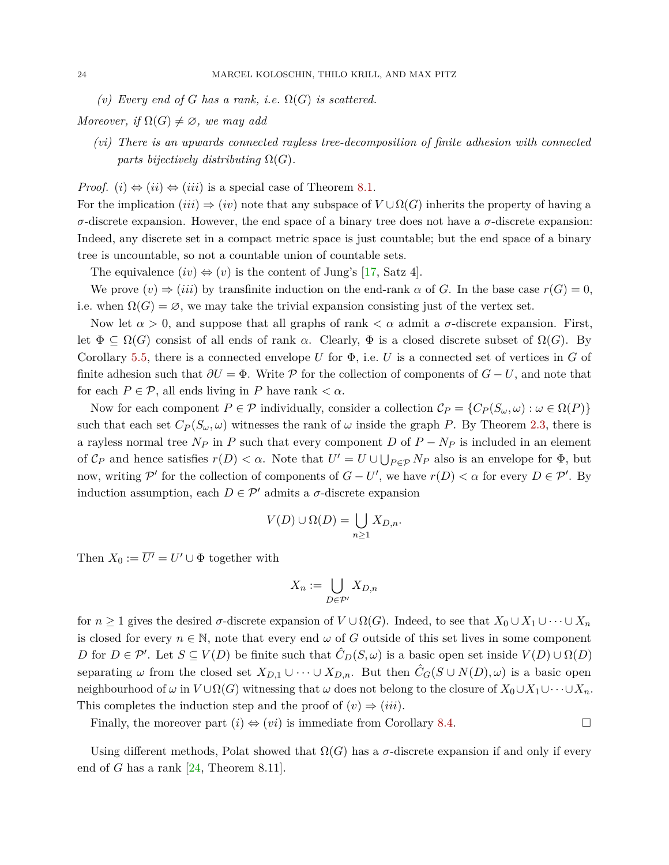$(v)$  *Every end of G has a rank, i.e.*  $\Omega(G)$  *is scattered.* 

*Moreover, if*  $\Omega(G) \neq \emptyset$ *, we may add* 

*(vi) There is an upwards connected rayless tree-decomposition of finite adhesion with connected parts bijectively distributing*  $\Omega(G)$ *.* 

*Proof.* (*i*)  $\Leftrightarrow$  (*ii*)  $\Leftrightarrow$  (*iii*) is a special case of Theorem [8.1.](#page-20-1)

For the implication  $(iii) \Rightarrow (iv)$  note that any subspace of  $V \cup \Omega(G)$  inherits the property of having a *σ*-discrete expansion. However, the end space of a binary tree does not have a *σ*-discrete expansion: Indeed, any discrete set in a compact metric space is just countable; but the end space of a binary tree is uncountable, so not a countable union of countable sets.

The equivalence  $(iv) \Leftrightarrow (v)$  is the content of Jung's [\[17,](#page-27-11) Satz 4].

We prove  $(v) \Rightarrow (iii)$  by transfinite induction on the end-rank  $\alpha$  of *G*. In the base case  $r(G) = 0$ , i.e. when  $\Omega(G) = \emptyset$ , we may take the trivial expansion consisting just of the vertex set.

Now let  $\alpha > 0$ , and suppose that all graphs of rank  $\lt \alpha$  admit a  $\sigma$ -discrete expansion. First, let  $\Phi \subseteq \Omega(G)$  consist of all ends of rank  $\alpha$ . Clearly,  $\Phi$  is a closed discrete subset of  $\Omega(G)$ . By Corollary [5.5,](#page-12-1) there is a connected envelope *U* for  $\Phi$ , i.e. *U* is a connected set of vertices in *G* of finite adhesion such that  $\partial U = \Phi$ . Write P for the collection of components of  $G - U$ , and note that for each  $P \in \mathcal{P}$ , all ends living in *P* have rank  $\langle \alpha \rangle$ .

Now for each component  $P \in \mathcal{P}$  individually, consider a collection  $\mathcal{C}_P = \{C_P(S_\omega, \omega) : \omega \in \Omega(P)\}\$ such that each set  $C_P(S_\omega, \omega)$  witnesses the rank of  $\omega$  inside the graph *P*. By Theorem [2.3,](#page-6-1) there is a rayless normal tree  $N_P$  in  $P$  such that every component  $D$  of  $P - N_P$  is included in an element of  $\mathcal{C}_P$  and hence satisfies  $r(D) < \alpha$ . Note that  $U' = U \cup \bigcup_{P \in \mathcal{P}} N_P$  also is an envelope for  $\Phi$ , but now, writing P' for the collection of components of  $G - U'$ , we have  $r(D) < \alpha$  for every  $D \in \mathcal{P}'$ . By induction assumption, each  $D \in \mathcal{P}'$  admits a  $\sigma$ -discrete expansion

$$
V(D) \cup \Omega(D) = \bigcup_{n \geq 1} X_{D,n}.
$$

Then  $X_0 := \overline{U'} = U' \cup \Phi$  together with

$$
X_n := \bigcup_{D \in \mathcal{P}'} X_{D,n}
$$

for  $n \geq 1$  gives the desired  $\sigma$ -discrete expansion of  $V \cup \Omega(G)$ . Indeed, to see that  $X_0 \cup X_1 \cup \cdots \cup X_n$ is closed for every  $n \in \mathbb{N}$ , note that every end  $\omega$  of *G* outside of this set lives in some component *D* for  $D \in \mathcal{P}'$ . Let  $S \subseteq V(D)$  be finite such that  $\hat{C}_D(S, \omega)$  is a basic open set inside  $V(D) \cup \Omega(D)$ separating  $\omega$  from the closed set  $X_{D,1} \cup \cdots \cup X_{D,n}$ . But then  $\hat{C}_G(S \cup N(D), \omega)$  is a basic open neighbourhood of  $\omega$  in  $V \cup \Omega(G)$  witnessing that  $\omega$  does not belong to the closure of  $X_0 \cup X_1 \cup \cdots \cup X_n$ . This completes the induction step and the proof of  $(v) \Rightarrow (iii)$ .

Finally, the moreover part  $(i) \Leftrightarrow (vi)$  is immediate from Corollary [8.4.](#page-22-1)

Using different methods, Polat showed that  $\Omega(G)$  has a *σ*-discrete expansion if and only if every end of *G* has a rank  $[24,$  Theorem 8.11.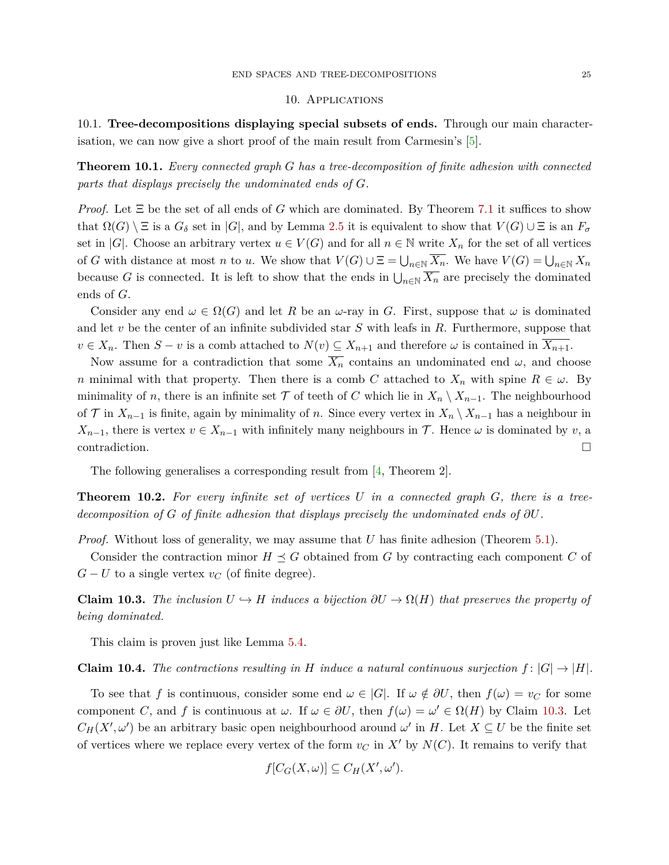## 10. Applications

<span id="page-24-0"></span>10.1. **Tree-decompositions displaying special subsets of ends.** Through our main characterisation, we can now give a short proof of the main result from Carmesin's [\[5\]](#page-27-12).

<span id="page-24-1"></span>**Theorem 10.1.** *Every connected graph G has a tree-decomposition of finite adhesion with connected parts that displays precisely the undominated ends of G.*

*Proof.* Let Ξ be the set of all ends of *G* which are dominated. By Theorem [7.1](#page-16-0) it suffices to show that  $\Omega(G) \setminus \Xi$  is a  $G_{\delta}$  set in |*G*|, and by Lemma [2.5](#page-7-1) it is equivalent to show that  $V(G) \cup \Xi$  is an  $F_{\sigma}$ set in |*G*|. Choose an arbitrary vertex  $u \in V(G)$  and for all  $n \in \mathbb{N}$  write  $X_n$  for the set of all vertices of *G* with distance at most *n* to *u*. We show that  $V(G) \cup \Xi = \bigcup_{n \in \mathbb{N}} X_n$ . We have  $V(G) = \bigcup_{n \in \mathbb{N}} X_n$ because *G* is connected. It is left to show that the ends in  $\bigcup_{n\in\mathbb{N}}\overline{X_n}$  are precisely the dominated ends of *G*.

Consider any end  $\omega \in \Omega(G)$  and let *R* be an  $\omega$ -ray in *G*. First, suppose that  $\omega$  is dominated and let *v* be the center of an infinite subdivided star *S* with leafs in *R*. Furthermore, suppose that  $v \in X_n$ . Then  $S - v$  is a comb attached to  $N(v) \subseteq X_{n+1}$  and therefore  $\omega$  is contained in  $X_{n+1}$ .

Now assume for a contradiction that some  $\overline{X_n}$  contains an undominated end  $\omega$ , and choose *n* minimal with that property. Then there is a comb *C* attached to  $X_n$  with spine  $R \in \omega$ . By minimality of *n*, there is an infinite set  $\mathcal T$  of teeth of *C* which lie in  $X_n \setminus X_{n-1}$ . The neighbourhood of  $\mathcal{T}$  in  $X_{n-1}$  is finite, again by minimality of *n*. Since every vertex in  $X_n \setminus X_{n-1}$  has a neighbour in *X*<sub>*n*−1</sub>, there is vertex  $v \in X_{n-1}$  with infinitely many neighbours in  $\mathcal{T}$ . Hence  $\omega$  is dominated by *v*, a  $\Box$ contradiction.

The following generalises a corresponding result from [\[4,](#page-26-2) Theorem 2].

<span id="page-24-2"></span>**Theorem 10.2.** *For every infinite set of vertices U in a connected graph G, there is a treedecomposition of G of finite adhesion that displays precisely the undominated ends of ∂U.*

*Proof.* Without loss of generality, we may assume that *U* has finite adhesion (Theorem [5.1\)](#page-10-0).

Consider the contraction minor  $H \preceq G$  obtained from G by contracting each component C of  $G-U$  to a single vertex  $v_C$  (of finite degree).

<span id="page-24-3"></span>**Claim 10.3.** *The inclusion*  $U \rightarrow H$  *induces a bijection*  $\partial U \rightarrow \Omega(H)$  *that preserves the property of being dominated.*

This claim is proven just like Lemma [5.4.](#page-12-0)

<span id="page-24-4"></span>**Claim 10.4.** The contractions resulting in H induce a natural continuous surjection  $f: |G| \to |H|$ .

To see that *f* is continuous, consider some end  $\omega \in |G|$ . If  $\omega \notin \partial U$ , then  $f(\omega) = v_C$  for some component *C*, and *f* is continuous at  $\omega$ . If  $\omega \in \partial U$ , then  $f(\omega) = \omega' \in \Omega(H)$  by Claim [10.3.](#page-24-3) Let  $C_H(X', \omega')$  be an arbitrary basic open neighbourhood around  $\omega'$  in *H*. Let  $X \subseteq U$  be the finite set of vertices where we replace every vertex of the form  $v<sub>C</sub>$  in  $X<sup>'</sup>$  by  $N(C)$ . It remains to verify that

$$
f[C_G(X,\omega)] \subseteq C_H(X',\omega').
$$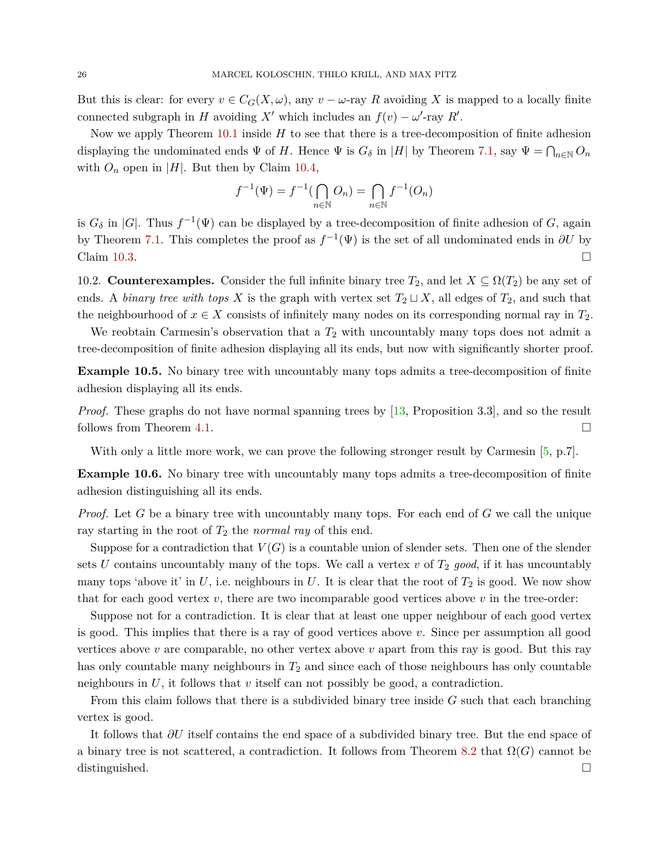But this is clear: for every  $v \in C_G(X, \omega)$ , any  $v - \omega$ -ray R avoiding X is mapped to a locally finite connected subgraph in *H* avoiding *X*<sup>*i*</sup> which includes an  $f(v) - \omega'$ -ray *R'*.

Now we apply Theorem [10.1](#page-24-1) inside *H* to see that there is a tree-decomposition of finite adhesion displaying the undominated ends  $\Psi$  of *H*. Hence  $\Psi$  is  $G_{\delta}$  in |*H*| by Theorem [7.1,](#page-16-0) say  $\Psi = \bigcap_{n\in\mathbb{N}} O_n$ with  $O_n$  open in |*H*|. But then by Claim [10.4,](#page-24-4)

$$
f^{-1}(\Psi) = f^{-1}(\bigcap_{n \in \mathbb{N}} O_n) = \bigcap_{n \in \mathbb{N}} f^{-1}(O_n)
$$

is  $G_{\delta}$  in |*G*|. Thus  $f^{-1}(\Psi)$  can be displayed by a tree-decomposition of finite adhesion of *G*, again by Theorem [7.1.](#page-16-0) This completes the proof as  $f^{-1}(\Psi)$  is the set of all undominated ends in  $\partial U$  by Claim [10.3.](#page-24-3)  $\Box$ 

10.2. **Counterexamples.** Consider the full infinite binary tree  $T_2$ , and let  $X \subseteq \Omega(T_2)$  be any set of ends. A *binary tree with tops X* is the graph with vertex set  $T_2 \sqcup X$ , all edges of  $T_2$ , and such that the neighbourhood of  $x \in X$  consists of infinitely many nodes on its corresponding normal ray in  $T_2$ .

We reobtain Carmesin's observation that a  $T_2$  with uncountably many tops does not admit a tree-decomposition of finite adhesion displaying all its ends, but now with significantly shorter proof.

**Example 10.5.** No binary tree with uncountably many tops admits a tree-decomposition of finite adhesion displaying all its ends.

*Proof.* These graphs do not have normal spanning trees by [\[13,](#page-27-19) Proposition 3.3], and so the result follows from Theorem [4.1.](#page-9-7)  $\Box$ 

With only a little more work, we can prove the following stronger result by Carmesin [\[5,](#page-27-12) p.7].

**Example 10.6.** No binary tree with uncountably many tops admits a tree-decomposition of finite adhesion distinguishing all its ends.

*Proof.* Let *G* be a binary tree with uncountably many tops. For each end of *G* we call the unique ray starting in the root of *T*<sup>2</sup> the *normal ray* of this end.

Suppose for a contradiction that  $V(G)$  is a countable union of slender sets. Then one of the slender sets  $U$  contains uncountably many of the tops. We call a vertex  $v$  of  $T_2$  good, if it has uncountably many tops 'above it' in  $U$ , i.e. neighbours in  $U$ . It is clear that the root of  $T_2$  is good. We now show that for each good vertex  $v$ , there are two incomparable good vertices above  $v$  in the tree-order:

Suppose not for a contradiction. It is clear that at least one upper neighbour of each good vertex is good. This implies that there is a ray of good vertices above *v*. Since per assumption all good vertices above *v* are comparable, no other vertex above *v* apart from this ray is good. But this ray has only countable many neighbours in *T*<sup>2</sup> and since each of those neighbours has only countable neighbours in  $U$ , it follows that  $v$  itself can not possibly be good, a contradiction.

From this claim follows that there is a subdivided binary tree inside *G* such that each branching vertex is good.

It follows that *∂U* itself contains the end space of a subdivided binary tree. But the end space of a binary tree is not scattered, a contradiction. It follows from Theorem [8.2](#page-21-1) that  $\Omega(G)$  cannot be distinguished.  $\square$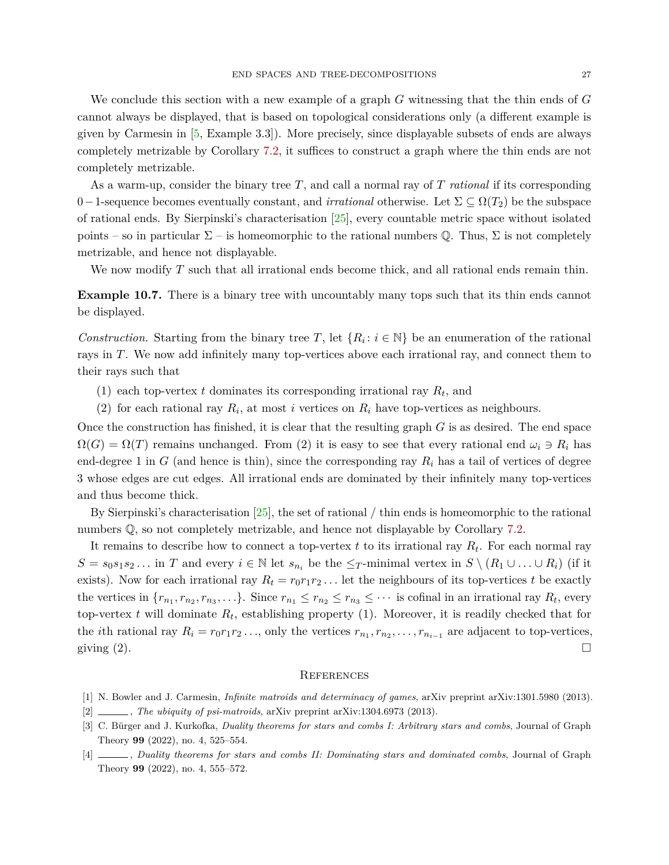We conclude this section with a new example of a graph *G* witnessing that the thin ends of *G* cannot always be displayed, that is based on topological considerations only (a different example is given by Carmesin in [\[5,](#page-27-12) Example 3.3]). More precisely, since displayable subsets of ends are always completely metrizable by Corollary [7.2,](#page-19-0) it suffices to construct a graph where the thin ends are not completely metrizable.

As a warm-up, consider the binary tree *T*, and call a normal ray of *T rational* if its corresponding 0−1-sequence becomes eventually constant, and *irrational* otherwise. Let  $\Sigma \subseteq \Omega(T_2)$  be the subspace of rational ends. By Sierpinski's characterisation [\[25\]](#page-27-20), every countable metric space without isolated points – so in particular  $\Sigma$  – is homeomorphic to the rational numbers  $\mathbb{O}$ . Thus,  $\Sigma$  is not completely metrizable, and hence not displayable.

We now modify *T* such that all irrational ends become thick, and all rational ends remain thin.

<span id="page-26-4"></span>**Example 10.7.** There is a binary tree with uncountably many tops such that its thin ends cannot be displayed.

*Construction.* Starting from the binary tree *T*, let  $\{R_i: i \in \mathbb{N}\}\$  be an enumeration of the rational rays in *T*. We now add infinitely many top-vertices above each irrational ray, and connect them to their rays such that

- (1) each top-vertex  $t$  dominates its corresponding irrational ray  $R_t$ , and
- (2) for each rational ray  $R_i$ , at most *i* vertices on  $R_i$  have top-vertices as neighbours.

Once the construction has finished, it is clear that the resulting graph *G* is as desired. The end space  $\Omega(G) = \Omega(T)$  remains unchanged. From (2) it is easy to see that every rational end  $\omega_i \ni R_i$  has end-degree 1 in  $G$  (and hence is thin), since the corresponding ray  $R_i$  has a tail of vertices of degree 3 whose edges are cut edges. All irrational ends are dominated by their infinitely many top-vertices and thus become thick.

By Sierpinski's characterisation  $[25]$ , the set of rational  $/$  thin ends is homeomorphic to the rational numbers  $\mathbb{Q}$ , so not completely metrizable, and hence not displayable by Corollary [7.2.](#page-19-0)

It remains to describe how to connect a top-vertex *t* to its irrational ray *R<sup>t</sup>* . For each normal ray  $S = s_0 s_1 s_2 \dots$  in *T* and every  $i \in \mathbb{N}$  let  $s_{n_i}$  be the  $\leq_T$ -minimal vertex in  $S \setminus (R_1 \cup \dots \cup R_i)$  (if it exists). Now for each irrational ray  $R_t = r_0 r_1 r_2 \dots$  let the neighbours of its top-vertices *t* be exactly the vertices in  $\{r_{n_1}, r_{n_2}, r_{n_3}, \ldots\}$ . Since  $r_{n_1} \leq r_{n_2} \leq r_{n_3} \leq \cdots$  is cofinal in an irrational ray  $R_t$ , every top-vertex  $t$  will dominate  $R_t$ , establishing property  $(1)$ . Moreover, it is readily checked that for the *i*th rational ray  $R_i = r_0 r_1 r_2 \dots$ , only the vertices  $r_{n_1}, r_{n_2}, \dots, r_{n_{i-1}}$  are adjacent to top-vertices, giving  $(2)$ .

#### **REFERENCES**

- <span id="page-26-0"></span>[1] N. Bowler and J. Carmesin, *Infinite matroids and determinacy of games*, arXiv preprint arXiv:1301.5980 (2013).
- <span id="page-26-3"></span>[2] , *The ubiquity of psi-matroids*, arXiv preprint arXiv:1304.6973 (2013).
- <span id="page-26-1"></span>[3] C. Bürger and J. Kurkofka, *Duality theorems for stars and combs I: Arbitrary stars and combs*, Journal of Graph Theory **99** (2022), no. 4, 525–554.
- <span id="page-26-2"></span>[4] , *Duality theorems for stars and combs II: Dominating stars and dominated combs*, Journal of Graph Theory **99** (2022), no. 4, 555–572.